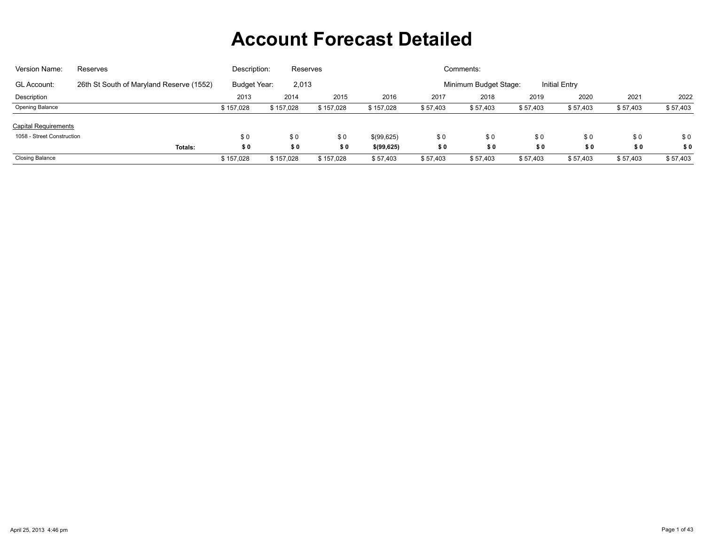| Version Name:               | Reserves                                 | Description:          | Reserves  |           |                                               |          | Comments: |          |          |          |          |  |  |
|-----------------------------|------------------------------------------|-----------------------|-----------|-----------|-----------------------------------------------|----------|-----------|----------|----------|----------|----------|--|--|
| <b>GL Account:</b>          | 26th St South of Maryland Reserve (1552) | Budget Year:<br>2,013 |           |           | Minimum Budget Stage:<br><b>Initial Entry</b> |          |           |          |          |          |          |  |  |
| Description                 |                                          | 2013                  | 2014      | 2015      | 2016                                          | 2017     | 2018      | 2019     | 2020     | 2021     | 2022     |  |  |
| <b>Opening Balance</b>      |                                          | \$157.028             | \$157,028 | \$157,028 | \$157,028                                     | \$57,403 | \$57,403  | \$57,403 | \$57,403 | \$57,403 | \$57,403 |  |  |
| <b>Capital Requirements</b> |                                          |                       |           |           |                                               |          |           |          |          |          |          |  |  |
| 1058 - Street Construction  |                                          | \$0                   | \$0       | \$0       | \$(99,625)                                    | \$0      | \$0       | \$0      | \$0      | \$0      | \$0      |  |  |
|                             | Totals:                                  | \$0                   | \$0       | \$0       | \$(99, 625)                                   | \$0      | \$0       | \$0      | \$0      | \$0      | \$0      |  |  |
| <b>Closing Balance</b>      |                                          | \$157,028             | \$157,028 | \$157,028 | \$57,403                                      | \$57,403 | \$57,403  | \$57,403 | \$57,403 | \$57,403 | \$57,403 |  |  |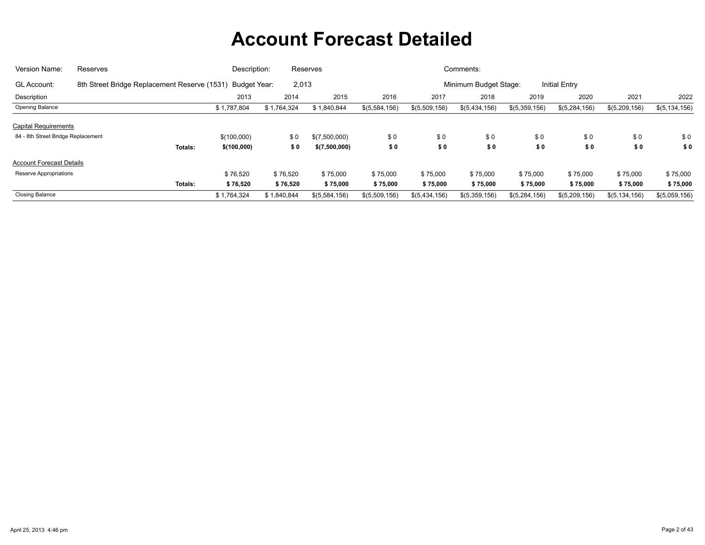| Version Name:                      | <b>Reserves</b>                                           | Description: |             | Reserves      |               |               | Comments:             |               |               |                 |                 |
|------------------------------------|-----------------------------------------------------------|--------------|-------------|---------------|---------------|---------------|-----------------------|---------------|---------------|-----------------|-----------------|
| <b>GL Account:</b>                 | 8th Street Bridge Replacement Reserve (1531) Budget Year: |              | 2,013       |               |               |               | Minimum Budget Stage: |               | Initial Entry |                 |                 |
| Description                        |                                                           | 2013         | 2014        | 2015          | 2016          | 2017          | 2018                  | 2019          | 2020          | 2021            | 2022            |
| Opening Balance                    |                                                           | \$1,787,804  | \$1,764,324 | \$1,840,844   | \$(5,584,156) | \$(5,509,156) | \$(5,434,156)         | \$(5,359,156) | \$(5,284,156) | \$(5,209,156)   | \$(5, 134, 156) |
| <b>Capital Requirements</b>        |                                                           |              |             |               |               |               |                       |               |               |                 |                 |
| 84 - 8th Street Bridge Replacement |                                                           | \$(100.000)  | \$0         | \$(7,500,000) | \$0           | \$0           | \$0                   | \$0           | \$0           | \$0             | \$0             |
|                                    | Totals:                                                   | \$(100,000)  | \$0         | \$(7,500,000) | \$0           | \$0           | \$0                   | \$0           | \$0           | \$0             | \$0             |
| <b>Account Forecast Details</b>    |                                                           |              |             |               |               |               |                       |               |               |                 |                 |
| Reserve Appropriations             |                                                           | \$76,520     | \$76,520    | \$75,000      | \$75,000      | \$75,000      | \$75,000              | \$75,000      | \$75,000      | \$75,000        | \$75,000        |
|                                    | Totals:                                                   | \$76,520     | \$76,520    | \$75,000      | \$75,000      | \$75,000      | \$75,000              | \$75,000      | \$75,000      | \$75,000        | \$75,000        |
| <b>Closing Balance</b>             |                                                           | \$1,764,324  | \$1,840,844 | \$(5,584,156) | \$(5,509,156) | \$(5,434,156) | \$(5,359,156)         | \$(5,284,156) | \$(5,209,156) | \$(5, 134, 156) | \$(5,059,156)   |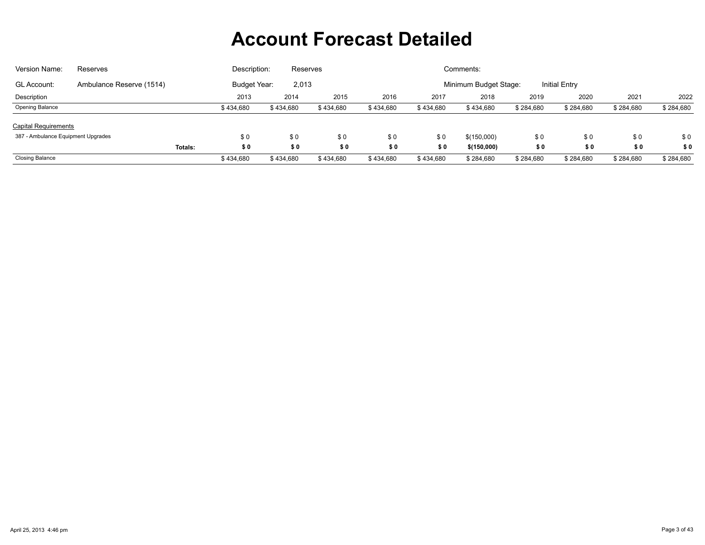| Version Name:                                                                                                            | Reserves | Description:<br>Comments:<br>Reserves |           |           |           |           |             |           |           |           |           |
|--------------------------------------------------------------------------------------------------------------------------|----------|---------------------------------------|-----------|-----------|-----------|-----------|-------------|-----------|-----------|-----------|-----------|
| Minimum Budget Stage:<br><b>Initial Entry</b><br>Budget Year:<br>2,013<br><b>GL Account:</b><br>Ambulance Reserve (1514) |          |                                       |           |           |           |           |             |           |           |           |           |
| Description                                                                                                              |          | 2013                                  | 2014      | 2015      | 2016      | 2017      | 2018        | 2019      | 2020      | 2021      | 2022      |
| <b>Opening Balance</b>                                                                                                   |          | \$434,680                             | \$434,680 | \$434,680 | \$434,680 | \$434,680 | \$434,680   | \$284,680 | \$284,680 | \$284,680 | \$284,680 |
| <b>Capital Requirements</b>                                                                                              |          |                                       |           |           |           |           |             |           |           |           |           |
| 387 - Ambulance Equipment Upgrades                                                                                       |          | \$0                                   | \$0       | \$0       | \$0       | \$0       | \$(150,000) | \$0       | \$0       | \$0       | \$0       |
|                                                                                                                          | Totals:  | \$0                                   | \$0       | \$0       | \$0       | \$0       | \$(150,000) | \$0       | \$0       | \$0       | \$0       |
| <b>Closing Balance</b>                                                                                                   |          | \$434,680                             | \$434,680 | \$434,680 | \$434,680 | \$434,680 | \$284,680   | \$284,680 | \$284,680 | \$284,680 | \$284,680 |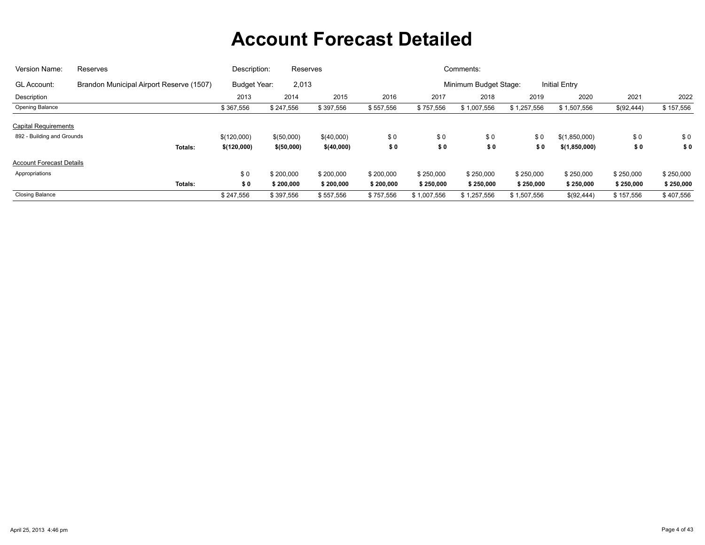| Version Name:                   | Reserves                                 | Description:                 | Reserves    |            |           |             | Comments:             |             |                      |            |           |
|---------------------------------|------------------------------------------|------------------------------|-------------|------------|-----------|-------------|-----------------------|-------------|----------------------|------------|-----------|
| GL Account:                     | Brandon Municipal Airport Reserve (1507) | 2,013<br><b>Budget Year:</b> |             |            |           |             | Minimum Budget Stage: |             | <b>Initial Entry</b> |            |           |
| Description                     |                                          | 2013                         | 2014        | 2015       | 2016      | 2017        | 2018                  | 2019        | 2020                 | 2021       | 2022      |
| Opening Balance                 |                                          | \$367,556                    | \$247,556   | \$397,556  | \$557,556 | \$757,556   | \$1,007,556           | \$1,257,556 | \$1,507,556          | \$(92,444) | \$157,556 |
| <b>Capital Requirements</b>     |                                          |                              |             |            |           |             |                       |             |                      |            |           |
| 892 - Building and Grounds      |                                          | \$(120,000)                  | \$(50,000)  | \$(40,000) | \$0       | \$0         | \$0                   | \$0         | \$(1,850,000)        | \$0        | \$0       |
|                                 | <b>Totals:</b>                           | \$(120,000)                  | \$ (50,000) | \$(40,000) | \$0       | \$0         | \$0                   | \$0         | \$(1,850,000)        | \$0        | \$0       |
| <b>Account Forecast Details</b> |                                          |                              |             |            |           |             |                       |             |                      |            |           |
| Appropriations                  |                                          | \$0                          | \$200,000   | \$200,000  | \$200,000 | \$250,000   | \$250,000             | \$250,000   | \$250,000            | \$250,000  | \$250,000 |
|                                 | Totals:                                  | \$0                          | \$200,000   | \$200,000  | \$200,000 | \$250,000   | \$250,000             | \$250,000   | \$250,000            | \$250,000  | \$250,000 |
| <b>Closing Balance</b>          |                                          | \$247,556                    | \$397,556   | \$557,556  | \$757,556 | \$1,007,556 | \$1,257,556           | \$1,507,556 | \$(92,444)           | \$157,556  | \$407,556 |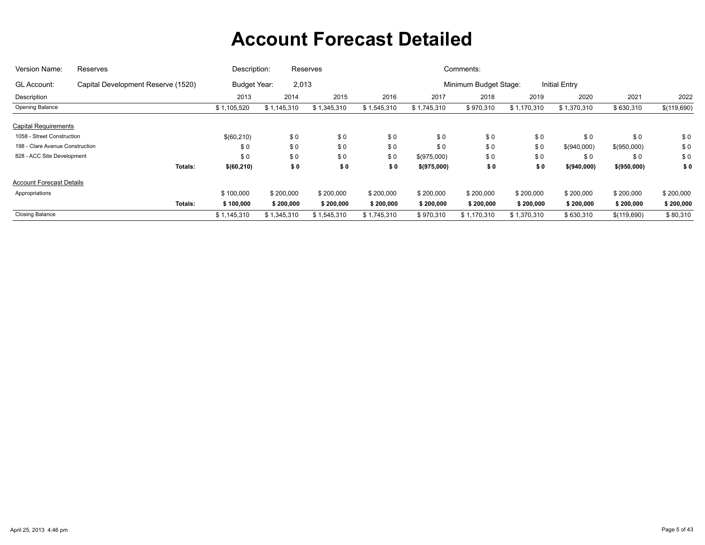| Version Name:                   | Reserves                           | Description: |             | Reserves    |                       |             | Comments:     |             |             |             |             |
|---------------------------------|------------------------------------|--------------|-------------|-------------|-----------------------|-------------|---------------|-------------|-------------|-------------|-------------|
| <b>GL Account:</b>              | Capital Development Reserve (1520) | 2,013        |             |             | Minimum Budget Stage: |             | Initial Entry |             |             |             |             |
| Description                     |                                    | 2013         | 2014        | 2015        | 2016                  | 2017        | 2018          | 2019        | 2020        | 2021        | 2022        |
| Opening Balance                 |                                    | \$1,105,520  | \$1,145,310 | \$1,345,310 | \$1,545,310           | \$1,745,310 | \$970,310     | \$1,170,310 | \$1,370,310 | \$630,310   | \$(119,690) |
| <b>Capital Requirements</b>     |                                    |              |             |             |                       |             |               |             |             |             |             |
| 1058 - Street Construction      |                                    | \$(60,210)   | \$0         | \$0         | \$0                   | \$0         | \$0           | \$0         | \$0         | \$0         | \$0         |
| 198 - Clare Avenue Construction |                                    | \$0          | \$0         | \$0         | \$0                   | \$0         | \$0           | \$0         | \$(940,000) | \$(950,000) | \$0         |
| 828 - ACC Site Development      |                                    | \$0          | \$0         | \$0         | \$0                   | \$(975,000) | \$0           | \$0         | \$0         | \$0         | \$0         |
|                                 | Totals:                            | \$ (60, 210) | \$0         | \$0         | \$0                   | \$(975,000) | \$0           | \$0         | \$(940,000) | \$(950,000) | \$0         |
| <b>Account Forecast Details</b> |                                    |              |             |             |                       |             |               |             |             |             |             |
| Appropriations                  |                                    | \$100,000    | \$200,000   | \$200,000   | \$200,000             | \$200,000   | \$200,000     | \$200,000   | \$200,000   | \$200,000   | \$200,000   |
|                                 | Totals:                            | \$100,000    | \$200,000   | \$200,000   | \$200,000             | \$200,000   | \$200,000     | \$200,000   | \$200,000   | \$200,000   | \$200,000   |
| <b>Closing Balance</b>          |                                    | \$1,145,310  | \$1,345,310 | \$1,545,310 | \$1,745,310           | \$970,310   | \$1,170,310   | \$1,370,310 | \$630,310   | \$(119,690) | \$80,310    |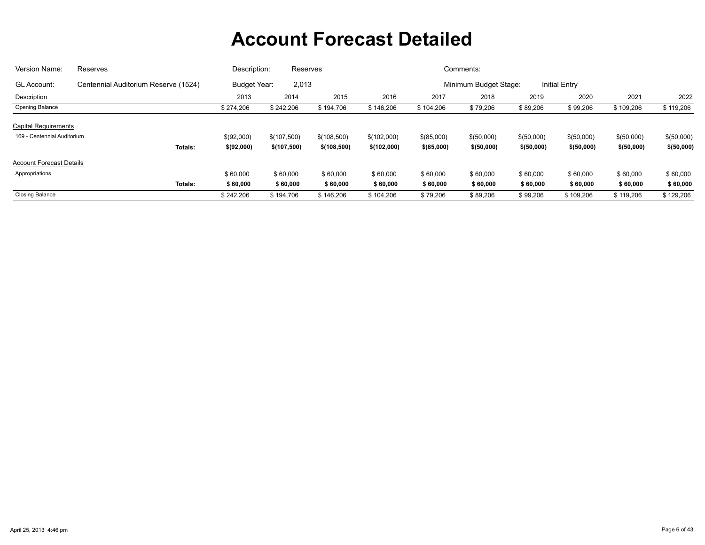| Version Name:                   | Reserves                             | Description: | Reserves                     |             |             |              | Comments:             |             |                      |             |             |
|---------------------------------|--------------------------------------|--------------|------------------------------|-------------|-------------|--------------|-----------------------|-------------|----------------------|-------------|-------------|
| GL Account:                     | Centennial Auditorium Reserve (1524) |              | 2,013<br><b>Budget Year:</b> |             |             |              | Minimum Budget Stage: |             | <b>Initial Entry</b> |             |             |
| Description                     |                                      | 2013         | 2014                         | 2015        | 2016        | 2017         | 2018                  | 2019        | 2020                 | 2021        | 2022        |
| Opening Balance                 |                                      | \$274,206    | \$242,206                    | \$194,706   | \$146,206   | \$104,206    | \$79,206              | \$89,206    | \$99,206             | \$109,206   | \$119,206   |
| <b>Capital Requirements</b>     |                                      |              |                              |             |             |              |                       |             |                      |             |             |
| 169 - Centennial Auditorium     |                                      | \$(92,000)   | \$(107,500)                  | \$(108,500) | \$(102,000) | \$(85,000)   | \$(50,000)            | \$(50,000)  | \$(50,000)           | \$(50,000)  | \$(50,000)  |
|                                 | Totals:                              | \$(92,000)   | \$(107,500)                  | \$(108,500) | \$(102,000) | $$$ (85,000) | \$ (50,000)           | \$ (50,000) | \$(50,000)           | \$ (50,000) | \$ (50,000) |
| <b>Account Forecast Details</b> |                                      |              |                              |             |             |              |                       |             |                      |             |             |
| Appropriations                  |                                      | \$60,000     | \$60,000                     | \$60,000    | \$60,000    | \$60,000     | \$60,000              | \$60,000    | \$60,000             | \$60,000    | \$60,000    |
|                                 | Totals:                              | \$60,000     | \$60,000                     | \$60,000    | \$60,000    | \$60,000     | \$60,000              | \$60,000    | \$60,000             | \$60,000    | \$60,000    |
| <b>Closing Balance</b>          |                                      | \$242,206    | \$194,706                    | \$146,206   | \$104,206   | \$79,206     | \$89,206              | \$99,206    | \$109,206            | \$119,206   | \$129,206   |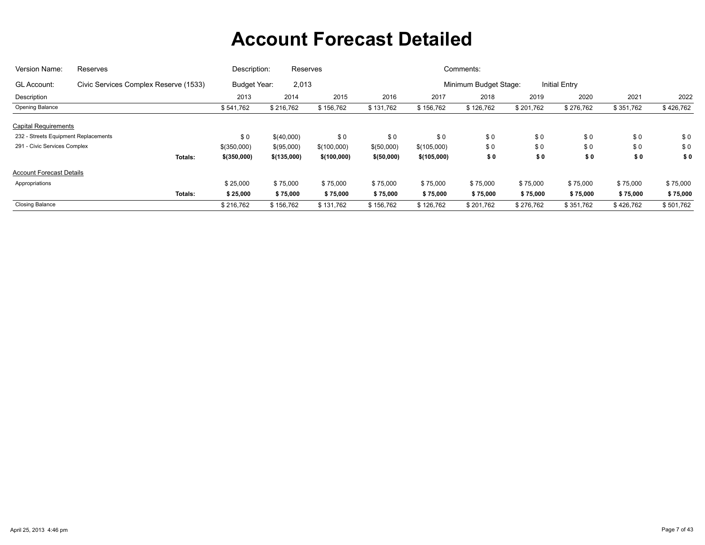| Version Name:                        | Reserves                              | Description:  | Reserves    |             |             |             | Comments:             |           |               |                                    |           |
|--------------------------------------|---------------------------------------|---------------|-------------|-------------|-------------|-------------|-----------------------|-----------|---------------|------------------------------------|-----------|
| GL Account:                          | Civic Services Complex Reserve (1533) | Budget Year:  | 2,013       |             |             |             | Minimum Budget Stage: |           | Initial Entry |                                    |           |
| Description                          |                                       | 2013          | 2014        | 2015        | 2016        | 2017        | 2018                  | 2019      | 2020          | 2021                               | 2022      |
| Opening Balance                      |                                       | \$541,762     | \$216,762   | \$156,762   | \$131,762   | \$156,762   | \$126,762             | \$201,762 | \$276,762     | \$351,762                          | \$426,762 |
| <b>Capital Requirements</b>          |                                       |               |             |             |             |             |                       |           |               |                                    |           |
| 232 - Streets Equipment Replacements |                                       | \$0           | \$(40,000)  | \$0         | \$0         | \$0         | \$0                   | \$0       | \$0           | \$0                                | \$0       |
| 291 - Civic Services Complex         |                                       | $$$ (350,000) | \$(95,000)  | \$(100,000) | \$(50,000)  | \$(105,000) | \$0                   | \$0       | \$0           | \$0<br>\$0<br>\$75,000<br>\$75,000 | \$0       |
|                                      | Totals:                               | \$(350,000)   | \$(135,000) | \$(100,000) | \$ (50,000) | \$(105,000) | \$0                   | \$0       | \$0           |                                    | \$0       |
| <b>Account Forecast Details</b>      |                                       |               |             |             |             |             |                       |           |               |                                    |           |
| Appropriations                       |                                       | \$25,000      | \$75,000    | \$75,000    | \$75,000    | \$75,000    | \$75,000              | \$75,000  | \$75,000      |                                    | \$75,000  |
|                                      | Totals:                               | \$25,000      | \$75,000    | \$75,000    | \$75,000    | \$75,000    | \$75,000              | \$75,000  | \$75,000      |                                    | \$75,000  |
| <b>Closing Balance</b>               |                                       | \$216,762     | \$156,762   | \$131,762   | \$156,762   | \$126,762   | \$201,762             | \$276,762 | \$351,762     | \$426,762                          | \$501,762 |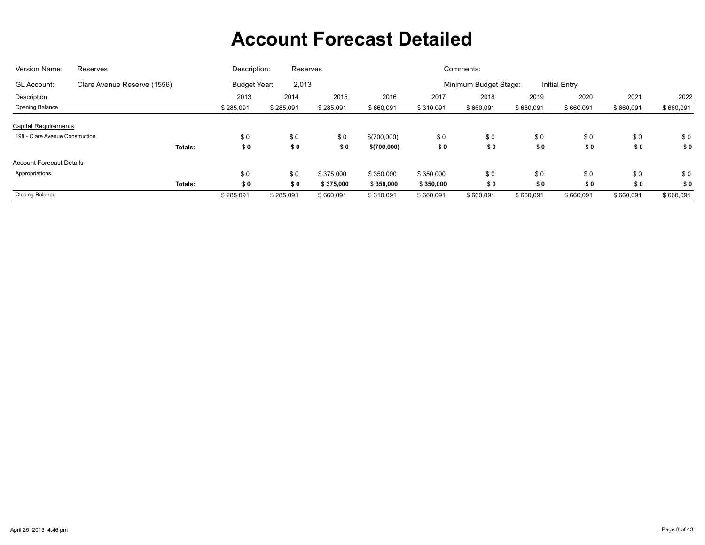| Version Name:                   | Reserves                    | Description: | Reserves              |           |             |           | Comments:             |           |                      |           |           |
|---------------------------------|-----------------------------|--------------|-----------------------|-----------|-------------|-----------|-----------------------|-----------|----------------------|-----------|-----------|
| GL Account:                     | Clare Avenue Reserve (1556) |              | 2,013<br>Budget Year: |           |             |           | Minimum Budget Stage: |           | <b>Initial Entry</b> |           |           |
| Description                     |                             | 2013         | 2014                  | 2015      | 2016        | 2017      | 2018                  | 2019      | 2020                 | 2021      | 2022      |
| Opening Balance                 |                             | \$285,091    | \$285,091             | \$285,091 | \$660,091   | \$310,091 | \$660,091             | \$660,091 | \$660,091            | \$660,091 | \$660,091 |
| <b>Capital Requirements</b>     |                             |              |                       |           |             |           |                       |           |                      |           |           |
| 198 - Clare Avenue Construction |                             | \$0          | \$0                   | \$0       | \$(700,000) | \$0       | \$0                   | \$0       | \$0                  | \$0       | \$0       |
|                                 | Totals:                     | \$0          | \$0                   | \$0       | \$(700,000) | \$0       | \$0                   | \$0       | \$0                  | \$0       | \$0       |
| <b>Account Forecast Details</b> |                             |              |                       |           |             |           |                       |           |                      |           |           |
| Appropriations                  |                             | \$0          | \$0                   | \$375,000 | \$350,000   | \$350,000 | \$0                   | \$0       | \$0                  | \$0       | \$0       |
|                                 | Totals:                     | \$0          | \$0                   | \$375,000 | \$350,000   | \$350,000 | \$0                   | \$0       | \$0                  | \$0       | \$0       |
| <b>Closing Balance</b>          |                             | \$285,091    | \$285,091             | \$660,091 | \$310,091   | \$660,091 | \$660,091             | \$660,091 | \$660,091            | \$660,091 | \$660,091 |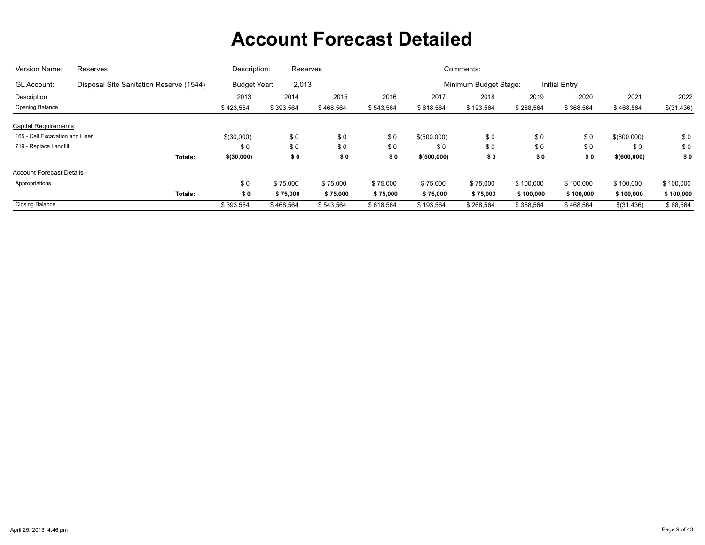| Version Name:                   | Reserves                                | Description:                 | Reserves  |           |           |              | Comments:             |           |                      |                                   |            |
|---------------------------------|-----------------------------------------|------------------------------|-----------|-----------|-----------|--------------|-----------------------|-----------|----------------------|-----------------------------------|------------|
| GL Account:                     | Disposal Site Sanitation Reserve (1544) | 2,013<br><b>Budget Year:</b> |           |           |           |              | Minimum Budget Stage: |           | <b>Initial Entry</b> |                                   |            |
| Description                     |                                         | 2013                         | 2014      | 2015      | 2016      | 2017         | 2018                  | 2019      | 2020                 | 2021                              | 2022       |
| <b>Opening Balance</b>          |                                         | \$423,564                    | \$393,564 | \$468,564 | \$543,564 | \$618,564    | \$193,564             | \$268,564 | \$368,564            | \$468,564                         | \$(31,436) |
| <b>Capital Requirements</b>     |                                         |                              |           |           |           |              |                       |           |                      |                                   |            |
| 165 - Cell Excavation and Liner |                                         | \$(30,000)                   | \$0       | \$0       | \$0       | \$(500,000)  | \$0                   | \$0       | \$0                  | \$(600,000)                       | \$0        |
| 719 - Replace Landfill          |                                         | \$0                          | \$0       | \$0       | \$0       | \$0          | \$0                   | \$0       | \$0                  | \$0<br>\$0<br>\$0<br>\$ (600,000) |            |
|                                 | <b>Totals:</b>                          | \$(30,000)                   | \$0       | \$0       | \$0       | \$ (500,000) | \$0                   | \$0       | \$0                  |                                   |            |
| <b>Account Forecast Details</b> |                                         |                              |           |           |           |              |                       |           |                      |                                   |            |
| Appropriations                  |                                         | \$0                          | \$75,000  | \$75,000  | \$75,000  | \$75,000     | \$75,000              | \$100,000 | \$100,000            | \$100,000                         | \$100,000  |
|                                 | Totals:                                 | \$0                          | \$75,000  | \$75,000  | \$75,000  | \$75,000     | \$75,000              | \$100,000 | \$100,000            | \$100,000                         | \$100,000  |
| <b>Closing Balance</b>          |                                         | \$393,564                    | \$468,564 | \$543,564 | \$618,564 | \$193,564    | \$268,564             | \$368,564 | \$468,564            | \$(31,436)                        | \$68,564   |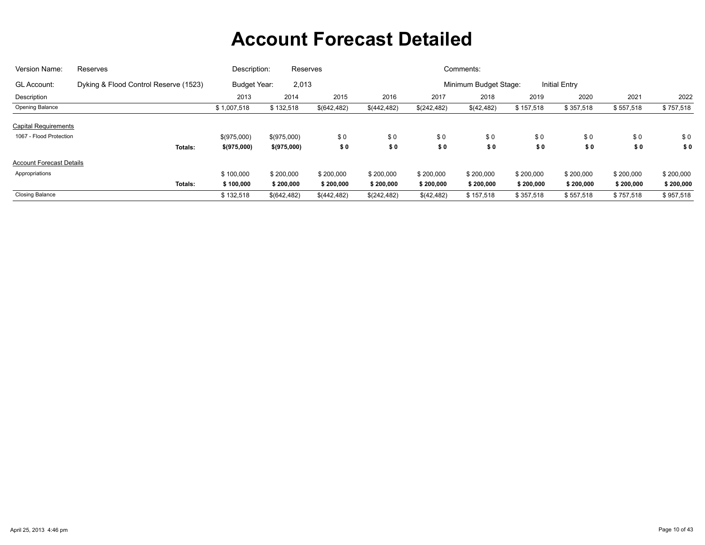| Version Name:                   | Reserves                              | Description:                 | Reserves     |              |             |                       | Comments:  |                      |           |           |           |
|---------------------------------|---------------------------------------|------------------------------|--------------|--------------|-------------|-----------------------|------------|----------------------|-----------|-----------|-----------|
| GL Account:                     | Dyking & Flood Control Reserve (1523) | 2,013<br><b>Budget Year:</b> |              |              |             | Minimum Budget Stage: |            | <b>Initial Entry</b> |           |           |           |
| Description                     |                                       | 2013                         | 2014         | 2015         | 2016        | 2017                  | 2018       | 2019                 | 2020      | 2021      | 2022      |
| Opening Balance                 |                                       | \$1,007,518                  | \$132,518    | \$(642, 482) | \$(442,482) | \$(242,482)           | \$(42,482) | \$157,518            | \$357,518 | \$557,518 | \$757,518 |
| <b>Capital Requirements</b>     |                                       |                              |              |              |             |                       |            |                      |           |           |           |
| 1067 - Flood Protection         |                                       | \$(975,000)                  | \$(975,000)  | \$0          | \$0         | \$0                   | \$0        | \$0                  | \$0       | \$0       | \$0       |
|                                 | <b>Totals:</b>                        | \$(975,000)                  | \$(975,000)  | \$0          | \$0         | \$0                   | \$0        | \$0                  | \$0       | \$0       | \$0       |
| <b>Account Forecast Details</b> |                                       |                              |              |              |             |                       |            |                      |           |           |           |
| Appropriations                  |                                       | \$100,000                    | \$200,000    | \$200,000    | \$200,000   | \$200,000             | \$200,000  | \$200,000            | \$200,000 | \$200,000 | \$200,000 |
|                                 | Totals:                               | \$100,000                    | \$200,000    | \$200,000    | \$200,000   | \$200,000             | \$200,000  | \$200,000            | \$200,000 | \$200,000 | \$200,000 |
| <b>Closing Balance</b>          |                                       | \$132,518                    | \$(642, 482) | \$(442,482)  | \$(242,482) | \$(42,482)            | \$157,518  | \$357,518            | \$557,518 | \$757,518 | \$957,518 |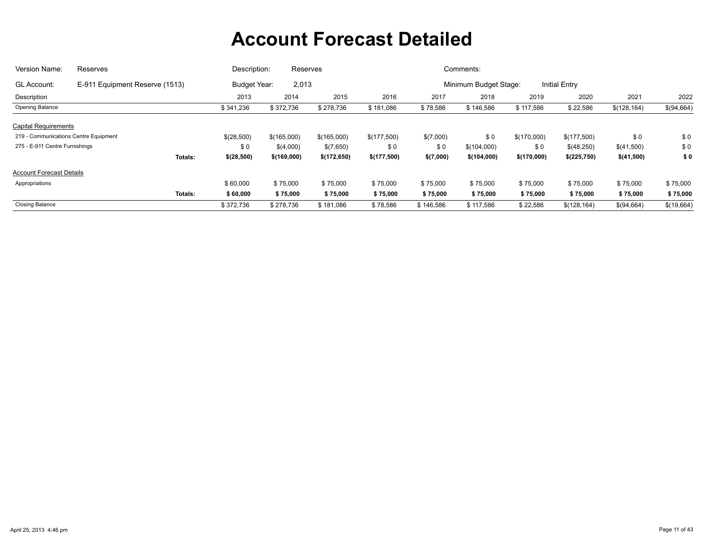| Version Name:                         | Reserves                       | Description: | Reserves                     |              |             |           | Comments:             |             |                      |              |            |
|---------------------------------------|--------------------------------|--------------|------------------------------|--------------|-------------|-----------|-----------------------|-------------|----------------------|--------------|------------|
| <b>GL Account:</b>                    | E-911 Equipment Reserve (1513) |              | 2,013<br><b>Budget Year:</b> |              |             |           | Minimum Budget Stage: |             | <b>Initial Entry</b> |              |            |
| Description                           |                                | 2013         | 2014                         | 2015         | 2016        | 2017      | 2018                  | 2019        | 2020                 | 2021         | 2022       |
| Opening Balance                       |                                | \$341,236    | \$372,736                    | \$278,736    | \$181,086   | \$78,586  | \$146,586             | \$117,586   | \$22,586             | \$(128, 164) | \$(94,664) |
| <b>Capital Requirements</b>           |                                |              |                              |              |             |           |                       |             |                      |              |            |
| 219 - Communications Centre Equipment |                                | \$(28,500)   | \$(165,000)                  | \$(165,000)  | \$(177,500) | \$(7,000) | \$0                   | \$(170,000) | \$(177,500)          | \$0          | \$0        |
| 275 - E-911 Centre Furnishings        |                                | \$0          | \$(4,000)                    | \$(7,650)    | \$0         | \$0       | \$(104,000)           | \$0         | \$(48,250)           | \$(41,500)   | \$0        |
|                                       | Totals:                        | \$(28,500)   | \$(169,000)                  | \$(172, 650) | \$(177,500) | \$(7,000) | \$(104,000)           | \$(170,000) | \$(225,750)          | \$(41,500)   | \$0        |
| <b>Account Forecast Details</b>       |                                |              |                              |              |             |           |                       |             |                      |              |            |
| Appropriations                        |                                | \$60,000     | \$75,000                     | \$75,000     | \$75,000    | \$75,000  | \$75,000              | \$75,000    | \$75,000             | \$75,000     | \$75,000   |
|                                       | Totals:                        | \$60,000     | \$75,000                     | \$75,000     | \$75,000    | \$75,000  | \$75,000              | \$75,000    | \$75,000             | \$75,000     | \$75,000   |
| <b>Closing Balance</b>                |                                | \$372,736    | \$278,736                    | \$181,086    | \$78,586    | \$146,586 | \$117,586             | \$22,586    | \$(128, 164)         | \$(94,664)   | \$(19,664) |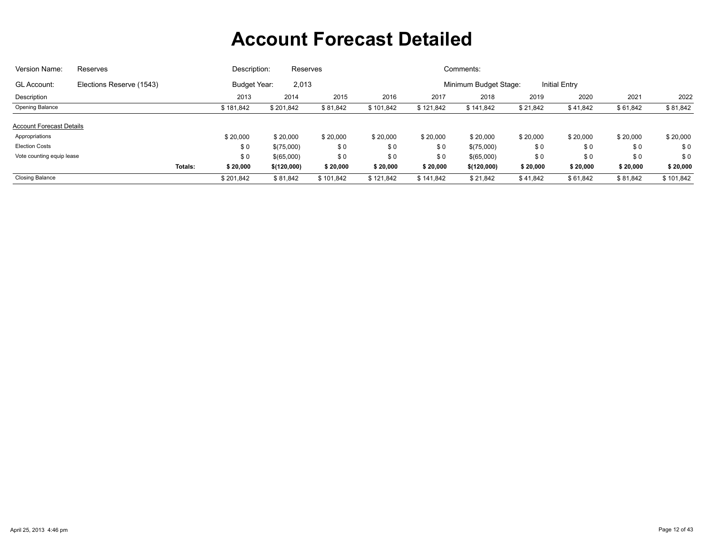| Version Name:                                     | Reserves                 |         | Description:        | Reserves    |           |           |           | Comments:             |          |                      |          |           |
|---------------------------------------------------|--------------------------|---------|---------------------|-------------|-----------|-----------|-----------|-----------------------|----------|----------------------|----------|-----------|
| <b>GL Account:</b>                                | Elections Reserve (1543) |         | <b>Budget Year:</b> | 2,013       |           |           |           | Minimum Budget Stage: |          | <b>Initial Entry</b> |          |           |
| Description                                       |                          |         | 2013                | 2014        | 2015      | 2016      | 2017      | 2018                  | 2019     | 2020                 | 2021     | 2022      |
| Opening Balance                                   |                          |         | \$181,842           | \$201,842   | \$81,842  | \$101,842 | \$121,842 | \$141,842             | \$21,842 | \$41,842             | \$61,842 | \$81,842  |
| <b>Account Forecast Details</b><br>Appropriations |                          |         | \$20,000            | \$20,000    | \$20,000  | \$20,000  | \$20,000  | \$20,000              | \$20,000 | \$20,000             | \$20,000 | \$20,000  |
| <b>Election Costs</b>                             |                          |         | \$0                 | \$(75,000)  | \$0       | \$0       | \$0       | \$(75,000)            | \$0      | \$0                  | \$0      | \$0       |
| Vote counting equip lease                         |                          |         | \$0                 | \$(65,000)  | \$0       | \$0       | \$0       | \$(65,000)            | \$0      | \$0                  | \$0      | \$0       |
|                                                   |                          | Totals: | \$20,000            | \$(120,000) | \$20,000  | \$20,000  | \$20,000  | \$(120,000)           | \$20,000 | \$20,000             | \$20,000 | \$20,000  |
| <b>Closing Balance</b>                            |                          |         | \$201.842           | \$81,842    | \$101.842 | \$121,842 | \$141.842 | \$21,842              | \$41,842 | \$61,842             | \$81,842 | \$101,842 |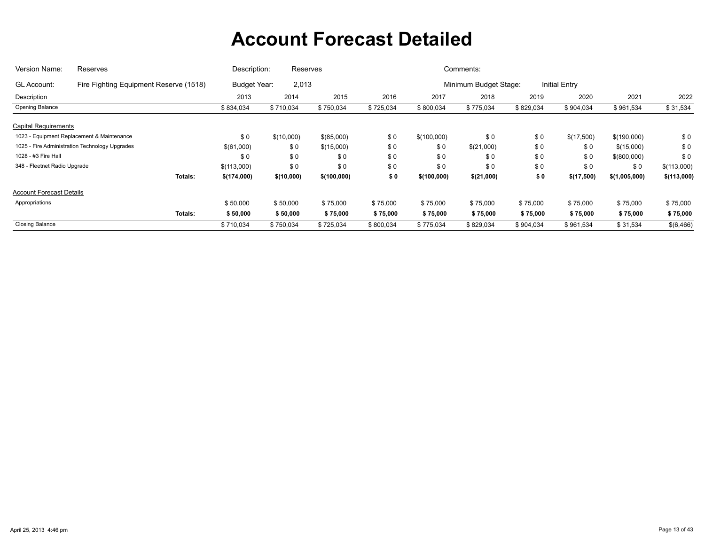| Version Name:                   | Reserves                                       | Description: | Reserves              |             |           |             | Comments:             |           |               |               |             |
|---------------------------------|------------------------------------------------|--------------|-----------------------|-------------|-----------|-------------|-----------------------|-----------|---------------|---------------|-------------|
| GL Account:                     | Fire Fighting Equipment Reserve (1518)         |              | 2,013<br>Budget Year: |             |           |             | Minimum Budget Stage: |           | Initial Entry |               |             |
| Description                     |                                                | 2013         | 2014                  | 2015        | 2016      | 2017        | 2018                  | 2019      | 2020          | 2021          | 2022        |
| Opening Balance                 |                                                | \$834,034    | \$710,034             | \$750,034   | \$725,034 | \$800,034   | \$775,034             | \$829,034 | \$904,034     | \$961,534     | \$31,534    |
| <b>Capital Requirements</b>     |                                                |              |                       |             |           |             |                       |           |               |               |             |
|                                 | 1023 - Equipment Replacement & Maintenance     | \$0          | \$(10,000)            | \$(85,000)  | \$0       | \$(100,000) | \$0                   | \$0       | \$(17,500)    | \$(190,000)   | \$0         |
|                                 | 1025 - Fire Administration Technology Upgrades | \$(61,000)   | \$0                   | \$(15,000)  | \$0       | \$0         | \$(21,000)            | \$0       | \$0           | \$(15,000)    | \$0         |
| 1028 - #3 Fire Hall             |                                                | \$0          | \$0                   | \$0         | \$0       | \$0         | \$0                   | \$0       | \$0           | \$(800,000)   | \$0         |
| 348 - Fleetnet Radio Upgrade    |                                                | \$(113,000)  | \$0                   | \$0         | \$0       | \$0         | \$0                   | \$0       | \$0           | \$0           | \$(113,000) |
|                                 | Totals:                                        | \$(174,000)  | \$(10,000)            | \$(100,000) | \$0       | \$(100,000) | \$(21,000)            | \$0       | \$(17,500)    | \$(1,005,000) | \$(113,000) |
| <b>Account Forecast Details</b> |                                                |              |                       |             |           |             |                       |           |               |               |             |
| Appropriations                  |                                                | \$50,000     | \$50,000              | \$75,000    | \$75,000  | \$75,000    | \$75,000              | \$75,000  | \$75,000      | \$75,000      | \$75,000    |
|                                 | Totals:                                        | \$50,000     | \$50,000              | \$75,000    | \$75,000  | \$75,000    | \$75,000              | \$75,000  | \$75,000      | \$75,000      | \$75,000    |
| <b>Closing Balance</b>          |                                                | \$710,034    | \$750,034             | \$725,034   | \$800,034 | \$775,034   | \$829,034             | \$904,034 | \$961,534     | \$31,534      | \$(6,466)   |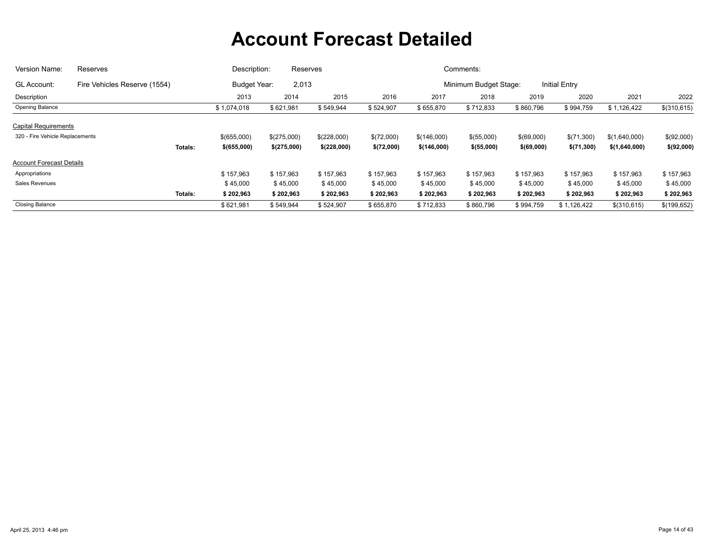| Version Name:                   | Reserves                     | Description:             |                              | Reserves    |            |             | Comments:             |            |                      |               |              |
|---------------------------------|------------------------------|--------------------------|------------------------------|-------------|------------|-------------|-----------------------|------------|----------------------|---------------|--------------|
| <b>GL Account:</b>              | Fire Vehicles Reserve (1554) |                          | 2,013<br><b>Budget Year:</b> |             |            |             | Minimum Budget Stage: |            | <b>Initial Entry</b> |               |              |
| Description                     |                              | 2013                     | 2014                         | 2015        | 2016       | 2017        | 2018                  | 2019       | 2020                 | 2021          | 2022         |
| Opening Balance                 |                              | \$1,074,018              | \$621,981                    | \$549,944   | \$524,907  | \$655,870   | \$712,833             | \$860,796  | \$994,759            | \$1,126,422   | \$(310, 615) |
| <b>Capital Requirements</b>     |                              |                          |                              |             |            |             |                       |            |                      |               |              |
| 320 - Fire Vehicle Replacements |                              | \$(655,000)              | \$(275,000)                  | \$(228,000) | \$(72,000) | \$(146,000) | \$(55,000)            | \$(69,000) | \$(71,300)           | \$(1,640,000) | \$(92,000)   |
|                                 |                              | Totals:<br>$$$ (655,000) | \$(275,000)                  | \$(228,000) | \$(72,000) | \$(146,000) | \$(55,000)            | \$(69,000) | \$(71,300)           | \$(1,640,000) | \$(92,000)   |
| <b>Account Forecast Details</b> |                              |                          |                              |             |            |             |                       |            |                      |               |              |
| Appropriations                  |                              | \$157.963                | \$157,963                    | \$157,963   | \$157,963  | \$157,963   | \$157,963             | \$157,963  | \$157,963            | \$157,963     | \$157,963    |
| Sales Revenues                  |                              | \$45,000                 | \$45,000                     | \$45,000    | \$45,000   | \$45,000    | \$45,000              | \$45,000   | \$45,000             | \$45,000      | \$45,000     |
|                                 |                              | \$202,963<br>Totals:     | \$202,963                    | \$202,963   | \$202,963  | \$202,963   | \$202,963             | \$202,963  | \$202,963            | \$202,963     | \$202,963    |
| <b>Closing Balance</b>          |                              | \$621,981                | \$549,944                    | \$524,907   | \$655,870  | \$712,833   | \$860,796             | \$994,759  | \$1,126,422          | \$(310,615)   | \$(199,652)  |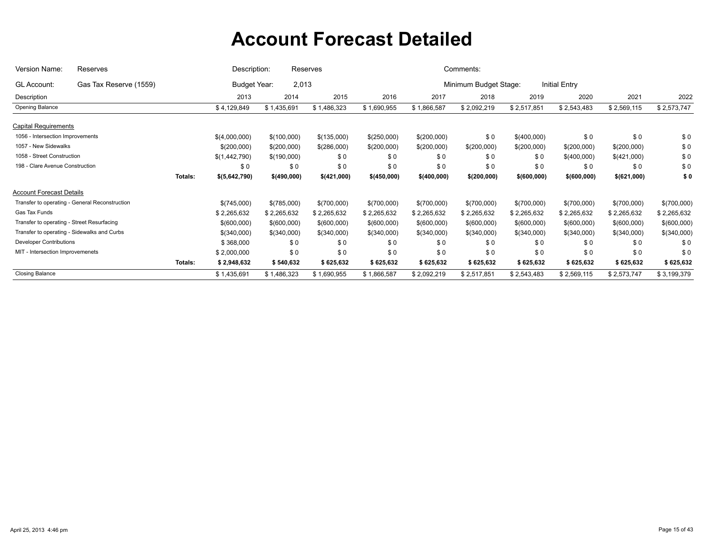| Version Name:                                  | Reserves               |         | Description:   | Reserves    |              |             |              | Comments:             |              |                      |             |             |
|------------------------------------------------|------------------------|---------|----------------|-------------|--------------|-------------|--------------|-----------------------|--------------|----------------------|-------------|-------------|
| <b>GL Account:</b>                             | Gas Tax Reserve (1559) |         | Budget Year:   | 2,013       |              |             |              | Minimum Budget Stage: |              | <b>Initial Entry</b> |             |             |
| Description                                    |                        |         | 2013           | 2014        | 2015         | 2016        | 2017         | 2018                  | 2019         | 2020                 | 2021        | 2022        |
| Opening Balance                                |                        |         | \$4,129,849    | \$1,435,691 | \$1,486,323  | \$1,690,955 | \$1,866,587  | \$2,092,219           | \$2,517,851  | \$2,543,483          | \$2,569,115 | \$2,573,747 |
| <b>Capital Requirements</b>                    |                        |         |                |             |              |             |              |                       |              |                      |             |             |
| 1056 - Intersection Improvements               |                        |         | \$(4,000,000)  | \$(100,000) | \$(135,000)  | \$(250,000) | \$(200,000)  | \$0                   | \$(400,000)  | \$0                  | \$0         | \$0         |
| 1057 - New Sidewalks                           |                        |         | \$(200,000)    | \$(200,000) | \$(286,000)  | \$(200,000) | \$(200,000)  | \$(200,000)           | \$(200,000)  | \$(200,000)          | \$(200,000) | \$0         |
| 1058 - Street Construction                     |                        |         | \$(1,442,790)  | \$(190,000) | \$0          | \$0         | \$0          | \$0                   | \$0          | \$(400,000)          | \$(421,000) | \$0         |
| 198 - Clare Avenue Construction                |                        |         | \$0            | \$0         | \$0          | \$0         | \$0          | \$0                   | \$0          | \$0                  | \$0         | \$0         |
|                                                |                        | Totals: | \$ (5,642,790) | \$(490,000) | \$ (421,000) | \$(450,000) | \$ (400,000) | \$(200,000)           | \$ (600,000) | \$ (600,000)         | \$(621,000) | \$0         |
| <b>Account Forecast Details</b>                |                        |         |                |             |              |             |              |                       |              |                      |             |             |
| Transfer to operating - General Reconstruction |                        |         | \$(745,000)    | \$(785,000) | \$(700,000)  | \$(700,000) | \$(700,000)  | \$(700,000)           | \$(700,000)  | \$(700,000)          | \$(700,000) | \$(700,000) |
| Gas Tax Funds                                  |                        |         | \$2,265,632    | \$2,265,632 | \$2,265,632  | \$2,265,632 | \$2,265,632  | \$2,265,632           | \$2,265,632  | \$2,265,632          | \$2,265,632 | \$2,265,632 |
| Transfer to operating - Street Resurfacing     |                        |         | \$(600,000)    | \$(600,000) | \$(600,000)  | \$(600,000) | \$(600,000)  | \$(600,000)           | \$(600,000)  | \$(600,000)          | \$(600,000) | \$(600,000) |
| Transfer to operating - Sidewalks and Curbs    |                        |         | \$(340,000)    | \$(340,000) | \$(340,000)  | \$(340,000) | \$(340,000)  | \$(340,000)           | \$(340,000)  | \$(340,000)          | \$(340,000) | \$(340,000) |
| <b>Developer Contributions</b>                 |                        |         | \$368,000      | \$0         | \$0          | \$0         | \$0          | \$0                   | \$0          | \$0                  | \$0         | \$0         |
| MIT - Intersection Improvemenets               |                        |         | \$2,000,000    | \$0         | \$0          | \$0         | \$0          | \$0                   | \$0          | \$0                  | \$0         | \$0         |
|                                                |                        | Totals: | \$2,948,632    | \$540,632   | \$625,632    | \$625,632   | \$625,632    | \$625,632             | \$625,632    | \$625,632            | \$625,632   | \$625,632   |
| <b>Closing Balance</b>                         |                        |         | \$1,435,691    | \$1,486,323 | \$1,690,955  | \$1,866,587 | \$2,092,219  | \$2,517,851           | \$2,543,483  | \$2,569,115          | \$2,573,747 | \$3,199,379 |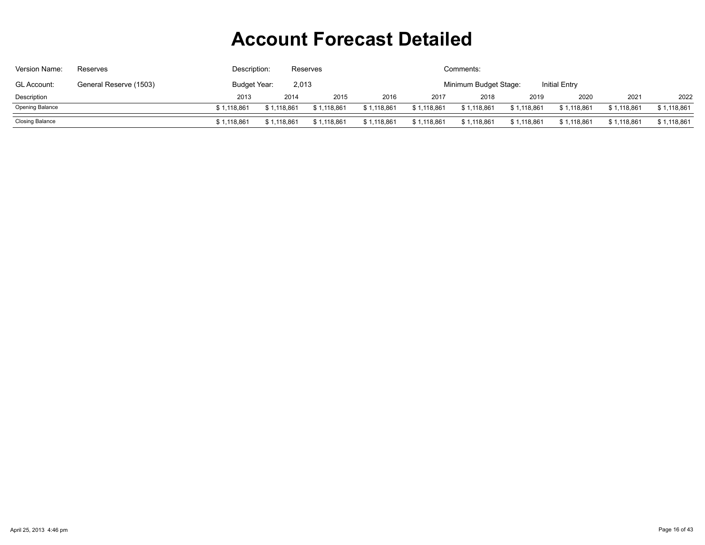| Version Name:          | Reserves               | Description: |                                                        | Comments:<br><b>Reserves</b> |             |             |             |             |             |             |             |  |
|------------------------|------------------------|--------------|--------------------------------------------------------|------------------------------|-------------|-------------|-------------|-------------|-------------|-------------|-------------|--|
| GL Account:            | General Reserve (1503) | Budget Year: | 2,013<br><b>Initial Entry</b><br>Minimum Budget Stage: |                              |             |             |             |             |             |             |             |  |
| Description            |                        | 2013         | 2014                                                   | 2015                         | 2016        | 2017        | 2018        | 2019        | 2020        | 2021        | 2022        |  |
| <b>Opening Balance</b> |                        | \$1,118,861  | \$1,118,861                                            | \$1,118,861                  | \$1,118,861 | \$1,118,861 | \$1,118,861 | \$1,118,861 | \$1,118,861 | \$1,118,861 | \$1,118,861 |  |
| Closing Balance        |                        | \$1,118,861  | \$1,118,861                                            | \$1,118,861                  | \$1,118,861 | \$1,118,861 | \$1,118,861 | \$1,118,861 | \$1,118,861 | \$1,118,861 | \$1,118,861 |  |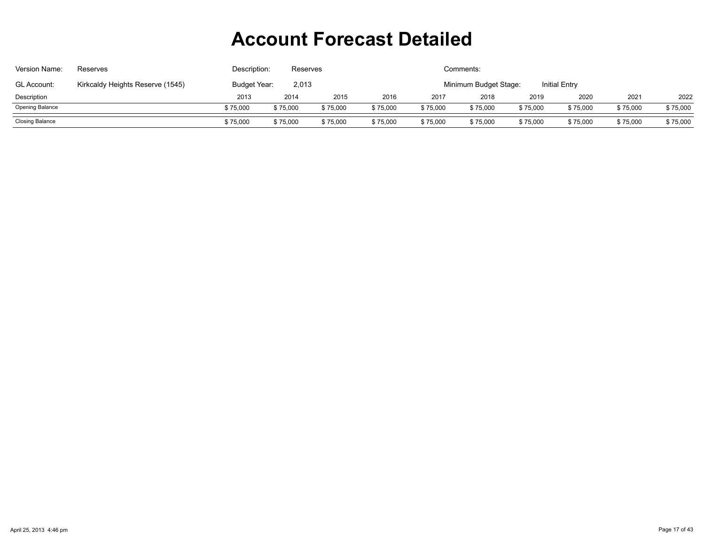| Version Name:          | Reserves                         | Description: |                                                        | Comments:<br><b>Reserves</b> |          |          |          |          |          |          |          |  |  |
|------------------------|----------------------------------|--------------|--------------------------------------------------------|------------------------------|----------|----------|----------|----------|----------|----------|----------|--|--|
| <b>GL Account:</b>     | Kirkcaldy Heights Reserve (1545) | Budget Year: | 2,013<br><b>Initial Entry</b><br>Minimum Budget Stage: |                              |          |          |          |          |          |          |          |  |  |
| Description            |                                  | 2013         | 2014                                                   | 2015                         | 2016     | 2017     | 2018     | 2019     | 2020     | 2021     | 2022     |  |  |
| <b>Opening Balance</b> |                                  | \$75,000     | \$75,000                                               | \$75,000                     | \$75,000 | \$75,000 | \$75,000 | \$75,000 | \$75,000 | \$75,000 | \$75,000 |  |  |
| Closing Balance        |                                  | \$75,000     | \$75,000                                               | \$75,000                     | \$75,000 | \$75,000 | \$75,000 | \$75,000 | \$75,000 | \$75,000 | \$75,000 |  |  |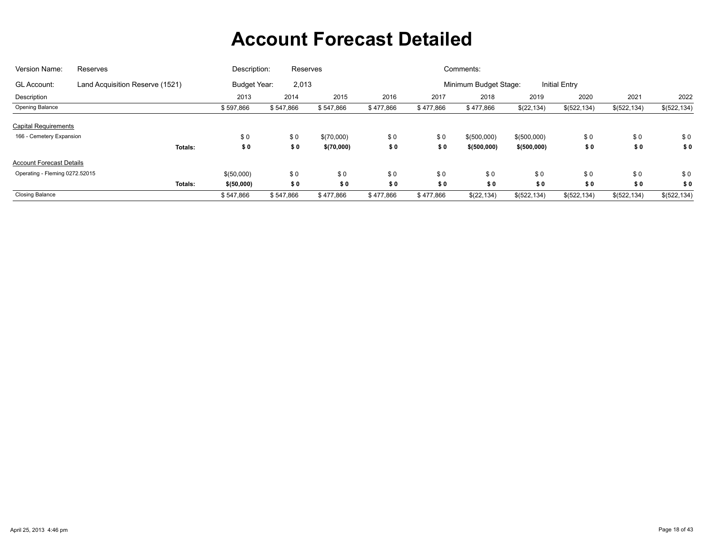| Version Name:                   | Reserves                        | Description: | Reserves                     |            |           |           | Comments:             |               |                      |              |              |
|---------------------------------|---------------------------------|--------------|------------------------------|------------|-----------|-----------|-----------------------|---------------|----------------------|--------------|--------------|
| GL Account:                     | Land Acquisition Reserve (1521) |              | <b>Budget Year:</b><br>2,013 |            |           |           | Minimum Budget Stage: |               | <b>Initial Entry</b> |              |              |
| Description                     |                                 | 2013         | 2014                         | 2015       | 2016      | 2017      | 2018                  | 2019          | 2020                 | 2021         | 2022         |
| Opening Balance                 |                                 | \$597,866    | \$547,866                    | \$547,866  | \$477,866 | \$477,866 | \$477,866             | \$(22, 134)   | \$(522, 134)         | \$(522, 134) | \$(522, 134) |
| <b>Capital Requirements</b>     |                                 |              |                              |            |           |           |                       |               |                      |              |              |
| 166 - Cemetery Expansion        |                                 | \$0          | \$0                          | \$(70,000) | \$0       | \$0       | \$(500,000)           | \$(500,000)   | \$0                  | \$0          | \$0          |
|                                 | Totals:                         | \$0          | \$0                          | \$(70,000) | \$0       | \$0       | \$ (500,000)          | \$ (500,000)  | \$0                  | \$0          | \$0          |
| <b>Account Forecast Details</b> |                                 |              |                              |            |           |           |                       |               |                      |              |              |
| Operating - Fleming 0272.52015  |                                 | \$(50,000)   | \$0                          | \$0        | \$0       | \$0       | \$0                   | \$0           | \$0                  | \$0          | \$0          |
|                                 | Totals:                         | \$ (50,000)  | \$0                          | \$0        | \$0       | \$0       | \$0                   | \$0           | \$0                  | \$0          | \$0          |
| <b>Closing Balance</b>          |                                 | \$547,866    | \$547,866                    | \$477,866  | \$477,866 | \$477,866 | \$(22, 134)           | \$ (522, 134) | \$(522, 134)         | \$(522, 134) | \$(522, 134) |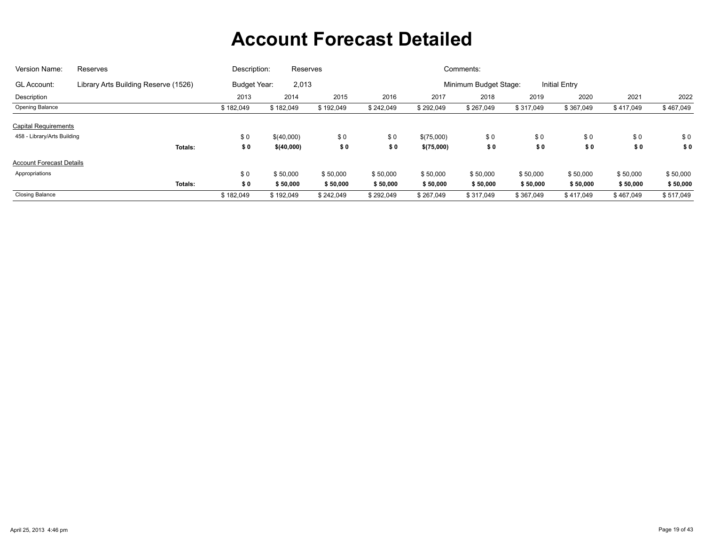| Version Name:                   | Reserves                             | Description:        | Reserves   |           |           |            | Comments:             |           |                      |           |           |
|---------------------------------|--------------------------------------|---------------------|------------|-----------|-----------|------------|-----------------------|-----------|----------------------|-----------|-----------|
| GL Account:                     | Library Arts Building Reserve (1526) | <b>Budget Year:</b> | 2,013      |           |           |            | Minimum Budget Stage: |           | <b>Initial Entry</b> |           |           |
| Description                     |                                      | 2013                | 2014       | 2015      | 2016      | 2017       | 2018                  | 2019      | 2020                 | 2021      | 2022      |
| Opening Balance                 |                                      | \$182,049           | \$182,049  | \$192,049 | \$242,049 | \$292,049  | \$267,049             | \$317,049 | \$367,049            | \$417,049 | \$467,049 |
| <b>Capital Requirements</b>     |                                      |                     |            |           |           |            |                       |           |                      |           |           |
| 458 - Library/Arts Building     |                                      | \$0                 | \$(40,000) | \$0       | \$0       | \$(75,000) | \$0                   | \$0       | \$0                  | \$0       | \$0       |
|                                 | Totals:                              | \$0                 | \$(40,000) | \$0       | \$0       | \$(75,000) | \$0                   | \$0       | \$0                  | \$0       | \$0       |
| <b>Account Forecast Details</b> |                                      |                     |            |           |           |            |                       |           |                      |           |           |
| Appropriations                  |                                      | \$0                 | \$50,000   | \$50,000  | \$50,000  | \$50,000   | \$50,000              | \$50,000  | \$50,000             | \$50,000  | \$50,000  |
|                                 | Totals:                              | \$0                 | \$50,000   | \$50,000  | \$50,000  | \$50,000   | \$50,000              | \$50,000  | \$50,000             | \$50,000  | \$50,000  |
| <b>Closing Balance</b>          |                                      | \$182,049           | \$192,049  | \$242,049 | \$292,049 | \$267,049  | \$317,049             | \$367,049 | \$417,049            | \$467,049 | \$517,049 |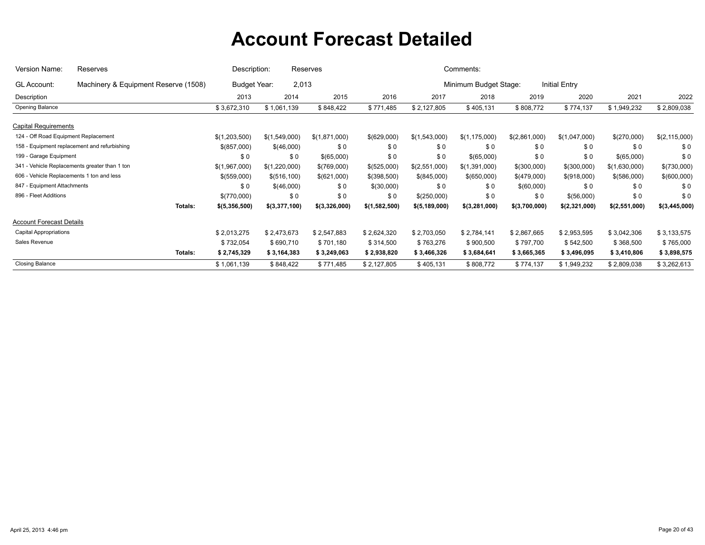| Version Name:                             | Reserves                                      | Description:  |               | Reserves      |               |                 | Comments:             |               |               |               |               |
|-------------------------------------------|-----------------------------------------------|---------------|---------------|---------------|---------------|-----------------|-----------------------|---------------|---------------|---------------|---------------|
| GL Account:                               | Machinery & Equipment Reserve (1508)          | Budget Year:  | 2,013         |               |               |                 | Minimum Budget Stage: |               | Initial Entry |               |               |
| Description                               |                                               | 2013          | 2014          | 2015          | 2016          | 2017            | 2018                  | 2019          | 2020          | 2021          | 2022          |
| Opening Balance                           |                                               | \$3,672,310   | \$1,061,139   | \$848,422     | \$771,485     | \$2,127,805     | \$405,131             | \$808,772     | \$774,137     | \$1,949,232   | \$2,809,038   |
| <b>Capital Requirements</b>               |                                               |               |               |               |               |                 |                       |               |               |               |               |
| 124 - Off Road Equipment Replacement      |                                               | \$(1,203,500) | \$(1,549,000) | \$(1,871,000) | \$(629,000)   | \$(1,543,000)   | \$(1, 175, 000)       | \$(2,861,000) | \$(1,047,000) | \$(270,000)   | \$(2,115,000) |
|                                           | 158 - Equipment replacement and refurbishing  | \$(857,000)   | \$(46,000)    | \$0           | \$0           | \$0             | \$0                   | \$0           | \$0           | \$0           | \$0           |
| 199 - Garage Equipment                    |                                               | \$0           | \$0           | \$(65,000)    | \$0           | \$0             | \$(65,000)            | \$0           | \$0           | \$(65,000)    | \$0           |
|                                           | 341 - Vehicle Replacements greater than 1 ton | \$(1,967,000) | \$(1,220,000) | \$(769,000)   | \$(525,000)   | \$(2,551,000)   | \$(1,391,000)         | \$(300,000)   | \$(300,000)   | \$(1,630,000) | \$(730,000)   |
| 606 - Vehicle Replacements 1 ton and less |                                               | \$(559,000)   | \$(516, 100)  | \$(621,000)   | \$(398,500)   | \$(845,000)     | \$(650,000)           | \$(479,000)   | \$(918,000)   | \$(586,000)   | \$(600,000)   |
| 847 - Equipment Attachments               |                                               | \$0           | \$(46,000)    | \$0           | \$(30,000)    | \$0             | \$0                   | \$(60,000)    | \$0           | \$0           | \$0           |
| 896 - Fleet Additions                     |                                               | \$(770,000)   | \$0           | \$0           | \$0           | \$(250,000)     | \$0                   | \$0           | \$(56,000)    | \$0           | \$0           |
|                                           | Totals:                                       | \$(5,356,500) | \$(3,377,100) | \$(3,326,000) | \$(1,582,500) | \$(5, 189, 000) | \$(3,281,000)         | \$(3,700,000) | \$(2,321,000) | \$(2,551,000) | \$(3,445,000) |
| <b>Account Forecast Details</b>           |                                               |               |               |               |               |                 |                       |               |               |               |               |
| <b>Capital Appropriations</b>             |                                               | \$2,013,275   | \$2,473,673   | \$2,547,883   | \$2,624,320   | \$2,703,050     | \$2,784,141           | \$2,867,665   | \$2,953,595   | \$3,042,306   | \$3,133,575   |
| Sales Revenue                             |                                               | \$732,054     | \$690,710     | \$701,180     | \$314,500     | \$763,276       | \$900,500             | \$797,700     | \$542,500     | \$368,500     | \$765,000     |
|                                           | Totals:                                       | \$2,745,329   | \$3,164,383   | \$3,249,063   | \$2,938,820   | \$3,466,326     | \$3,684,641           | \$3,665,365   | \$3,496,095   | \$3,410,806   | \$3,898,575   |
| <b>Closing Balance</b>                    |                                               | \$1,061,139   | \$848,422     | \$771,485     | \$2,127,805   | \$405,131       | \$808,772             | \$774,137     | \$1,949,232   | \$2,809,038   | \$3,262,613   |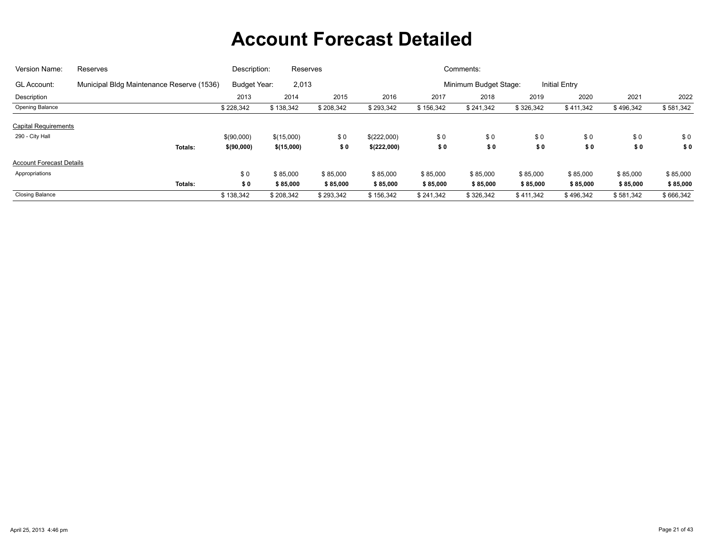| Version Name:                   | Reserves                                  | Description: | Reserves   |           |             |           | Comments:             |           |                      |           |           |
|---------------------------------|-------------------------------------------|--------------|------------|-----------|-------------|-----------|-----------------------|-----------|----------------------|-----------|-----------|
| <b>GL Account:</b>              | Municipal Bldg Maintenance Reserve (1536) | Budget Year: | 2,013      |           |             |           | Minimum Budget Stage: |           | <b>Initial Entry</b> |           |           |
| Description                     |                                           | 2013         | 2014       | 2015      | 2016        | 2017      | 2018                  | 2019      | 2020                 | 2021      | 2022      |
| Opening Balance                 |                                           | \$228,342    | \$138,342  | \$208,342 | \$293,342   | \$156,342 | \$241,342             | \$326,342 | \$411,342            | \$496,342 | \$581,342 |
| <b>Capital Requirements</b>     |                                           |              |            |           |             |           |                       |           |                      |           |           |
| 290 - City Hall                 |                                           | \$(90,000)   | \$(15,000) | \$0       | \$(222,000) | \$0       | \$0                   | \$0       | \$0                  | \$0       | \$0       |
|                                 | Totals:                                   | \$(90,000)   | \$(15,000) | \$0       | \$(222,000) | \$0       | \$0                   | \$0       | \$0                  | \$0       | \$0       |
| <b>Account Forecast Details</b> |                                           |              |            |           |             |           |                       |           |                      |           |           |
| Appropriations                  |                                           | \$0          | \$85,000   | \$85,000  | \$85,000    | \$85,000  | \$85,000              | \$85,000  | \$85,000             | \$85,000  | \$85,000  |
|                                 | Totals:                                   | \$0          | \$85,000   | \$85,000  | \$85,000    | \$85,000  | \$85,000              | \$85,000  | \$85,000             | \$85,000  | \$85,000  |
| <b>Closing Balance</b>          |                                           | \$138,342    | \$208,342  | \$293,342 | \$156,342   | \$241,342 | \$326,342             | \$411,342 | \$496,342            | \$581,342 | \$666,342 |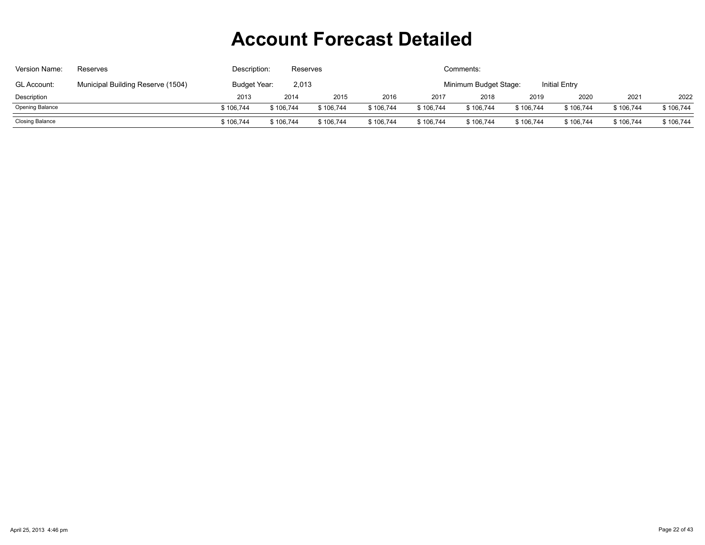| Version Name:          | Reserves                          | Description: |                                                        | Comments:<br>Reserves |           |           |           |           |           |           |           |  |
|------------------------|-----------------------------------|--------------|--------------------------------------------------------|-----------------------|-----------|-----------|-----------|-----------|-----------|-----------|-----------|--|
| <b>GL Account:</b>     | Municipal Building Reserve (1504) | Budget Year: | 2,013<br><b>Initial Entry</b><br>Minimum Budget Stage: |                       |           |           |           |           |           |           |           |  |
| Description            |                                   | 2013         | 2014                                                   | 2015                  | 2016      | 2017      | 2018      | 2019      | 2020      | 2021      | 2022      |  |
| <b>Opening Balance</b> |                                   | \$106.744    | \$106.744                                              | \$106.744             | \$106,744 | \$106,744 | \$106,744 | \$106,744 | \$106,744 | \$106,744 | \$106,744 |  |
| Closing Balance        |                                   | \$106,744    | \$106,744                                              | \$106,744             | \$106,744 | \$106,744 | \$106,744 | \$106,744 | \$106,744 | \$106,744 | \$106,744 |  |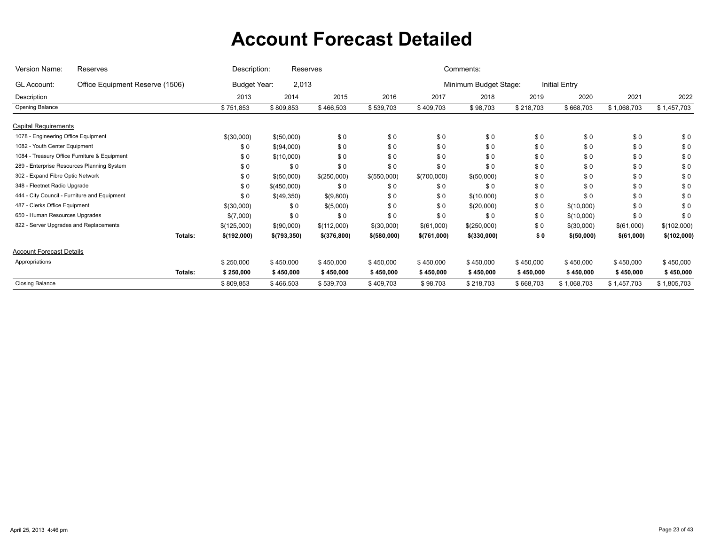| Version Name:                          | Reserves                                     | Description:           | Reserves              |               |              |             | Comments:             |           |               |             |             |
|----------------------------------------|----------------------------------------------|------------------------|-----------------------|---------------|--------------|-------------|-----------------------|-----------|---------------|-------------|-------------|
| <b>GL Account:</b>                     | Office Equipment Reserve (1506)              |                        | 2,013<br>Budget Year: |               |              |             | Minimum Budget Stage: |           | Initial Entry |             |             |
| Description                            |                                              | 2013                   | 2014                  | 2015          | 2016         | 2017        | 2018                  | 2019      | 2020          | 2021        | 2022        |
| Opening Balance                        |                                              | \$751,853              | \$809,853             | \$466,503     | \$539,703    | \$409,703   | \$98,703              | \$218,703 | \$668,703     | \$1,068,703 | \$1,457,703 |
| <b>Capital Requirements</b>            |                                              |                        |                       |               |              |             |                       |           |               |             |             |
| 1078 - Engineering Office Equipment    |                                              | \$(30,000)             | \$(50,000)            | \$0           | \$0          | \$0         | \$0                   | \$0       | \$0           | \$0         | \$0         |
| 1082 - Youth Center Equipment          |                                              | \$0                    | \$(94,000)            | \$0           | \$0          | \$0         | \$0                   | \$0       | \$0           | \$0         | \$0         |
|                                        | 1084 - Treasury Office Furniture & Equipment | \$0                    | \$(10,000)            | \$0           | \$0          | \$0         | \$0                   | \$0       | \$0           | \$0         | \$0         |
|                                        | 289 - Enterprise Resources Planning System   | \$0                    | \$0                   | \$0           | \$0          | \$0         | \$0                   | \$0       | \$0           | \$0         | \$0         |
| 302 - Expand Fibre Optic Network       |                                              | \$0                    | \$(50,000)            | \$(250,000)   | \$(550,000)  | \$(700,000) | \$(50,000)            | \$0       | \$0           | \$0         | \$0         |
| 348 - Fleetnet Radio Upgrade           |                                              | \$0                    | \$(450,000)           | \$0           | \$0          | \$0         | \$0                   | \$0       | \$0           | \$0         | \$0         |
|                                        | 444 - City Council - Furniture and Equipment | \$0                    | \$(49,350)            | \$(9,800)     | \$0          | \$0         | \$(10,000)            | \$0       | \$0           | \$0         | \$0         |
| 487 - Clerks Office Equipment          |                                              | \$(30,000)             | \$0                   | \$(5,000)     | \$0          | \$0         | \$(20,000)            | \$0       | \$(10,000)    | \$0         | \$0         |
| 650 - Human Resources Upgrades         |                                              | \$(7,000)              | \$0                   | \$0           | \$0          | \$0         | \$0                   | \$0       | \$(10,000)    | \$0         | \$0         |
| 822 - Server Upgrades and Replacements |                                              | \$(125,000)            | \$(90,000)            | \$(112,000)   | \$(30,000)   | \$(61,000)  | \$(250,000)           | \$0       | \$(30,000)    | \$(61,000)  | \$(102,000) |
|                                        |                                              | Totals:<br>\$(192,000) | \$(793,350)           | \$ (376, 800) | \$ (580,000) | \$(761,000) | \$(330,000)           | \$0       | \$(50,000)    | \$(61,000)  | \$(102,000) |
| <b>Account Forecast Details</b>        |                                              |                        |                       |               |              |             |                       |           |               |             |             |
| Appropriations                         |                                              | \$250,000              | \$450,000             | \$450,000     | \$450,000    | \$450,000   | \$450,000             | \$450,000 | \$450,000     | \$450,000   | \$450,000   |
|                                        |                                              | Totals:<br>\$250,000   | \$450,000             | \$450,000     | \$450,000    | \$450,000   | \$450,000             | \$450,000 | \$450,000     | \$450,000   | \$450,000   |
| <b>Closing Balance</b>                 |                                              | \$809,853              | \$466,503             | \$539,703     | \$409,703    | \$98,703    | \$218,703             | \$668,703 | \$1,068,703   | \$1,457,703 | \$1,805,703 |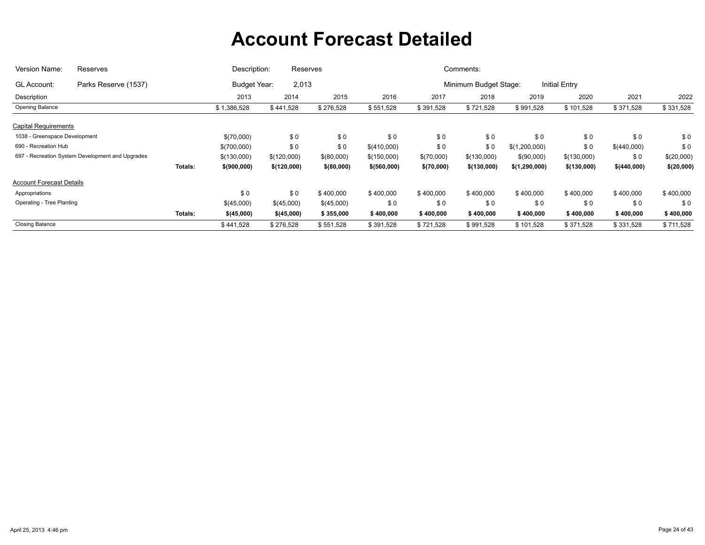| Version Name:                    | Reserves                                         |         | Description: | Reserves    |             |              |            | Comments:             |               |                      |             |            |
|----------------------------------|--------------------------------------------------|---------|--------------|-------------|-------------|--------------|------------|-----------------------|---------------|----------------------|-------------|------------|
| GL Account:                      | Parks Reserve (1537)                             |         | Budget Year: | 2,013       |             |              |            | Minimum Budget Stage: |               | <b>Initial Entry</b> |             |            |
| Description                      |                                                  |         | 2013         | 2014        | 2015        | 2016         | 2017       | 2018                  | 2019          | 2020                 | 2021        | 2022       |
| Opening Balance                  |                                                  |         | \$1,386,528  | \$441,528   | \$276,528   | \$551,528    | \$391,528  | \$721,528             | \$991,528     | \$101,528            | \$371,528   | \$331,528  |
| <b>Capital Requirements</b>      |                                                  |         |              |             |             |              |            |                       |               |                      |             |            |
| 1038 - Greenspace Development    |                                                  |         | \$(70,000)   | \$0         | \$0         | \$0          | \$0        | \$0                   | \$0           | \$0                  | \$0         | \$0        |
| 690 - Recreation Hub             |                                                  |         | \$(700,000)  | \$0         | \$0         | \$(410,000)  | \$0        | \$0                   | \$(1,200,000) | \$0                  | \$(440,000) | \$0        |
|                                  | 697 - Recreation System Development and Upgrades |         | \$(130,000)  | \$(120,000) | \$(80,000)  | \$(150,000)  | \$(70,000) | \$(130,000)           | \$(90,000)    | \$(130,000)          | \$0         | \$(20,000) |
|                                  |                                                  | Totals: | \$(900,000)  | \$(120,000) | \$ (80,000) | \$ (560,000) | \$(70,000) | \$(130,000)           | \$(1,290,000) | \$(130,000)          | \$(440,000) | \$(20,000) |
| <b>Account Forecast Details</b>  |                                                  |         |              |             |             |              |            |                       |               |                      |             |            |
| Appropriations                   |                                                  |         | \$0          | \$0         | \$400,000   | \$400,000    | \$400,000  | \$400,000             | \$400,000     | \$400,000            | \$400,000   | \$400,000  |
| <b>Operating - Tree Planting</b> |                                                  |         | \$(45,000)   | \$(45,000)  | \$(45,000)  | \$0          | \$0        | \$0                   | \$0           | \$0                  | \$0         | \$0        |
|                                  |                                                  | Totals: | \$(45,000)   | \$(45,000)  | \$355,000   | \$400,000    | \$400,000  | \$400,000             | \$400,000     | \$400,000            | \$400,000   | \$400,000  |
| <b>Closing Balance</b>           |                                                  |         | \$441,528    | \$276,528   | \$551,528   | \$391,528    | \$721,528  | \$991,528             | \$101,528     | \$371,528            | \$331,528   | \$711,528  |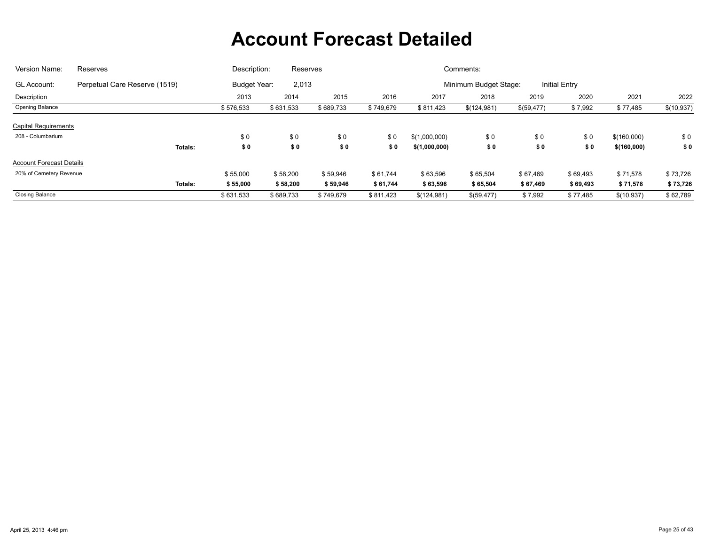| Version Name:                   | <b>Reserves</b>               | Description: | Reserves  |           |           |               | Comments:             |            |               |             |            |
|---------------------------------|-------------------------------|--------------|-----------|-----------|-----------|---------------|-----------------------|------------|---------------|-------------|------------|
| <b>GL Account:</b>              | Perpetual Care Reserve (1519) | Budget Year: | 2,013     |           |           |               | Minimum Budget Stage: |            | Initial Entry |             |            |
| Description                     |                               | 2013         | 2014      | 2015      | 2016      | 2017          | 2018                  | 2019       | 2020          | 2021        | 2022       |
| Opening Balance                 |                               | \$576,533    | \$631,533 | \$689,733 | \$749,679 | \$811,423     | \$(124,981)           | \$(59,477) | \$7,992       | \$77,485    | \$(10,937) |
| <b>Capital Requirements</b>     |                               |              |           |           |           |               |                       |            |               |             |            |
| 208 - Columbarium               |                               | \$0          | \$0       | \$0       | \$0       | \$(1,000,000) | \$0                   | \$0        | \$0           | \$(160,000) | \$0        |
|                                 | Totals:                       | \$0          | \$0       | \$0       | \$0       | \$(1,000,000) | \$0                   | \$0        | \$0           | \$(160,000) | \$0        |
| <b>Account Forecast Details</b> |                               |              |           |           |           |               |                       |            |               |             |            |
| 20% of Cemetery Revenue         |                               | \$55,000     | \$58,200  | \$59,946  | \$61,744  | \$63,596      | \$65,504              | \$67,469   | \$69,493      | \$71,578    | \$73,726   |
|                                 | Totals:                       | \$55,000     | \$58,200  | \$59,946  | \$61,744  | \$63,596      | \$65,504              | \$67,469   | \$69,493      | \$71,578    | \$73,726   |
| <b>Closing Balance</b>          |                               | \$631,533    | \$689,733 | \$749,679 | \$811,423 | \$(124,981)   | \$(59,477)            | \$7,992    | \$77,485      | \$(10,937)  | \$62,789   |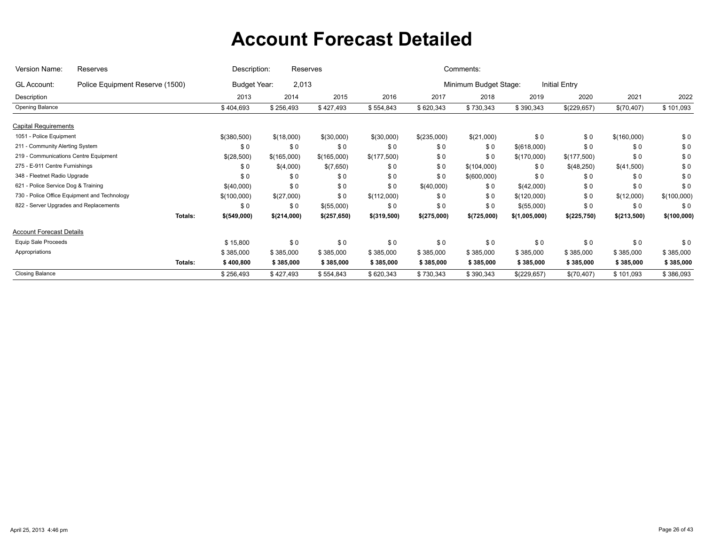| Version Name:                          | Description:<br>Reserves<br>Reserves         |         |              |             |             | Comments:     |             |                       |               |               |             |             |  |  |  |
|----------------------------------------|----------------------------------------------|---------|--------------|-------------|-------------|---------------|-------------|-----------------------|---------------|---------------|-------------|-------------|--|--|--|
| GL Account:                            | Police Equipment Reserve (1500)              |         | Budget Year: | 2,013       |             |               |             | Minimum Budget Stage: |               | Initial Entry |             |             |  |  |  |
| Description                            |                                              |         | 2013         | 2014        | 2015        | 2016          | 2017        | 2018                  | 2019          | 2020          | 2021        | 2022        |  |  |  |
| Opening Balance                        |                                              |         | \$404,693    | \$256,493   | \$427,493   | \$554,843     | \$620,343   | \$730,343             | \$390,343     | \$(229,657)   | \$(70,407)  | \$101,093   |  |  |  |
| <b>Capital Requirements</b>            |                                              |         |              |             |             |               |             |                       |               |               |             |             |  |  |  |
| 1051 - Police Equipment                |                                              |         | \$(380,500)  | \$(18,000)  | \$(30,000)  | \$(30,000)    | \$(235,000) | \$(21,000)            | \$0           | \$0           | \$(160,000) | \$0         |  |  |  |
| 211 - Community Alerting System        |                                              |         | \$0          | \$0         | \$0         | \$0           | \$0         | \$0                   | \$(618,000)   | \$0           | \$0         | \$0         |  |  |  |
| 219 - Communications Centre Equipment  |                                              |         | \$(28,500)   | \$(165,000) | \$(165,000) | \$(177,500)   | \$0         | \$0                   | \$(170,000)   | \$(177,500)   | \$0         | \$0         |  |  |  |
| 275 - E-911 Centre Furnishings         |                                              |         | \$0          | \$(4,000)   | \$(7,650)   | \$0           | \$0         | \$(104,000)           | \$0           | \$(48,250)    | \$(41,500)  | \$0         |  |  |  |
| 348 - Fleetnet Radio Upgrade           |                                              |         | \$0          | \$0         | \$0         | \$0           | \$0         | \$(600,000)           | \$0           | \$0           | \$0         | \$0         |  |  |  |
| 621 - Police Service Dog & Training    |                                              |         | \$(40,000)   | \$0         | \$0         | \$0           | \$(40,000)  | \$0                   | \$(42,000)    | \$0           | \$0         | \$0         |  |  |  |
|                                        | 730 - Police Office Equipment and Technology |         | \$(100,000)  | \$(27,000)  | \$0         | \$(112,000)   | \$0         | \$0                   | \$(120,000)   | \$0           | \$(12,000)  | \$(100,000) |  |  |  |
| 822 - Server Upgrades and Replacements |                                              |         | \$0          | \$0         | \$(55,000)  | \$0           | \$0         | \$0                   | \$(55,000)    | \$0           | \$0         | \$0         |  |  |  |
|                                        |                                              | Totals: | \$(549,000)  | \$(214,000) | \$(257,650) | $$$ (319,500) | \$(275,000) | \$(725,000)           | \$(1,005,000) | \$(225,750)   | \$(213,500) | \$(100,000) |  |  |  |
| <b>Account Forecast Details</b>        |                                              |         |              |             |             |               |             |                       |               |               |             |             |  |  |  |
| <b>Equip Sale Proceeds</b>             |                                              |         | \$15,800     | \$0         | \$0         | \$0           | \$0         | \$0                   | \$0           | \$0           | \$0         | \$0         |  |  |  |
| Appropriations                         |                                              |         | \$385,000    | \$385,000   | \$385,000   | \$385,000     | \$385,000   | \$385,000             | \$385,000     | \$385,000     | \$385,000   | \$385,000   |  |  |  |
|                                        |                                              | Totals: | \$400,800    | \$385,000   | \$385,000   | \$385,000     | \$385,000   | \$385,000             | \$385,000     | \$385,000     | \$385,000   | \$385,000   |  |  |  |
| <b>Closing Balance</b>                 |                                              |         | \$256,493    | \$427,493   | \$554,843   | \$620,343     | \$730,343   | \$390,343             | \$(229,657)   | \$(70,407)    | \$101,093   | \$386,093   |  |  |  |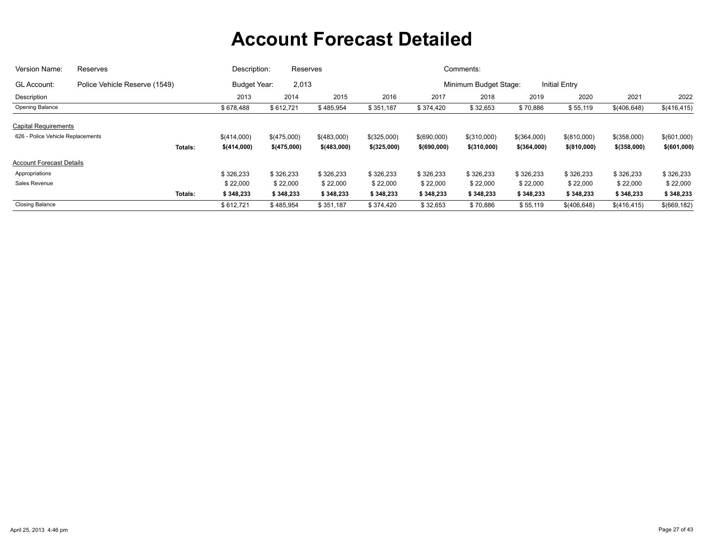| Version Name:<br>Reserves         |                               |                | Description:        | Reserves    |              |               |              | Comments:             |               |                      |               |              |
|-----------------------------------|-------------------------------|----------------|---------------------|-------------|--------------|---------------|--------------|-----------------------|---------------|----------------------|---------------|--------------|
| <b>GL Account:</b>                | Police Vehicle Reserve (1549) |                | <b>Budget Year:</b> | 2,013       |              |               |              | Minimum Budget Stage: |               | <b>Initial Entry</b> |               |              |
| Description                       |                               |                | 2013                | 2014        | 2015         | 2016          | 2017         | 2018                  | 2019          | 2020                 | 2021          | 2022         |
| Opening Balance                   |                               |                | \$678,488           | \$612,721   | \$485,954    | \$351,187     | \$374,420    | \$32,653              | \$70,886      | \$55,119             | \$(406,648)   | \$(416,415)  |
| <b>Capital Requirements</b>       |                               |                |                     |             |              |               |              |                       |               |                      |               |              |
| 626 - Police Vehicle Replacements |                               |                | \$(414,000)         | \$(475,000) | \$(483,000)  | $$$ (325,000) | \$(690,000)  | \$(310,000)           | \$(364,000)   | \$(810,000)          | \$(358,000)   | \$(601,000)  |
|                                   |                               | <b>Totals:</b> | \$(414,000)         | \$(475,000) | \$ (483,000) | \$ (325,000)  | \$ (690,000) | $$$ (310,000)         | $$$ (364,000) | \$ (810,000)         | $$$ (358,000) | \$(601,000)  |
| <b>Account Forecast Details</b>   |                               |                |                     |             |              |               |              |                       |               |                      |               |              |
| Appropriations                    |                               |                | \$326,233           | \$326,233   | \$326,233    | \$326,233     | \$326,233    | \$326,233             | \$326,233     | \$326,233            | \$326,233     | \$326,233    |
| Sales Revenue                     |                               |                | \$22,000            | \$22,000    | \$22,000     | \$22,000      | \$22,000     | \$22,000              | \$22,000      | \$22,000             | \$22,000      | \$22,000     |
|                                   |                               | <b>Totals:</b> | \$348,233           | \$348,233   | \$348,233    | \$348,233     | \$348,233    | \$348,233             | \$348,233     | \$348,233            | \$348,233     | \$348,233    |
| <b>Closing Balance</b>            |                               |                | \$612,721           | \$485,954   | \$351,187    | \$374,420     | \$32,653     | \$70,886              | \$55,119      | \$(406,648)          | \$(416,415)   | \$(669, 182) |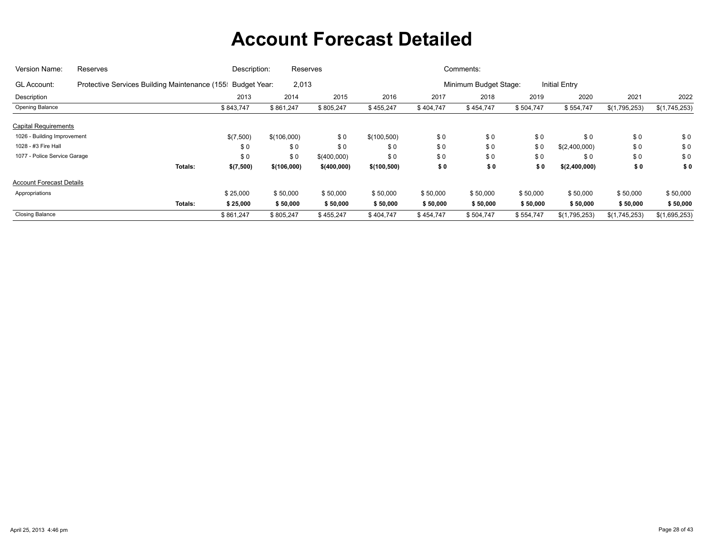| Version Name:                   | Reserves                                                   | Description: | Reserves    |              |             |           | Comments:             |           |                      |               |               |
|---------------------------------|------------------------------------------------------------|--------------|-------------|--------------|-------------|-----------|-----------------------|-----------|----------------------|---------------|---------------|
| <b>GL Account:</b>              | Protective Services Building Maintenance (155 Budget Year: |              | 2,013       |              |             |           | Minimum Budget Stage: |           | <b>Initial Entry</b> |               |               |
| Description                     |                                                            | 2013         | 2014        | 2015         | 2016        | 2017      | 2018                  | 2019      | 2020                 | 2021          | 2022          |
| Opening Balance                 |                                                            | \$843,747    | \$861,247   | \$805,247    | \$455,247   | \$404,747 | \$454,747             | \$504,747 | \$554,747            | \$(1,795,253) | \$(1,745,253) |
| <b>Capital Requirements</b>     |                                                            |              |             |              |             |           |                       |           |                      |               |               |
| 1026 - Building Improvement     |                                                            | \$(7,500)    | \$(106,000) | \$0          | \$(100,500) | \$0       | \$0                   | \$0       | \$0                  | \$0           | \$0           |
| 1028 - #3 Fire Hall             |                                                            | \$0          | \$0         | \$0          | \$0         | \$0       | \$0                   | \$0       | \$(2,400,000)        | \$0           | \$0           |
| 1077 - Police Service Garage    |                                                            | \$0          | \$0         | \$(400,000)  | \$0         | \$0       | \$0                   | \$0       | \$0                  | \$0           | \$0           |
|                                 | Totals:                                                    | \$(7,500)    | \$(106,000) | \$ (400,000) | \$(100,500) | \$0       | \$0                   | \$0       | \$(2,400,000)        | \$0           | \$0           |
| <b>Account Forecast Details</b> |                                                            |              |             |              |             |           |                       |           |                      |               |               |
| Appropriations                  |                                                            | \$25,000     | \$50,000    | \$50,000     | \$50,000    | \$50,000  | \$50,000              | \$50,000  | \$50,000             | \$50,000      | \$50,000      |
|                                 | Totals:                                                    | \$25,000     | \$50,000    | \$50,000     | \$50,000    | \$50,000  | \$50,000              | \$50,000  | \$50,000             | \$50,000      | \$50,000      |
| <b>Closing Balance</b>          |                                                            | \$861,247    | \$805,247   | \$455,247    | \$404,747   | \$454,747 | \$504,747             | \$554,747 | \$(1,795,253)        | \$(1,745,253) | \$(1,695,253) |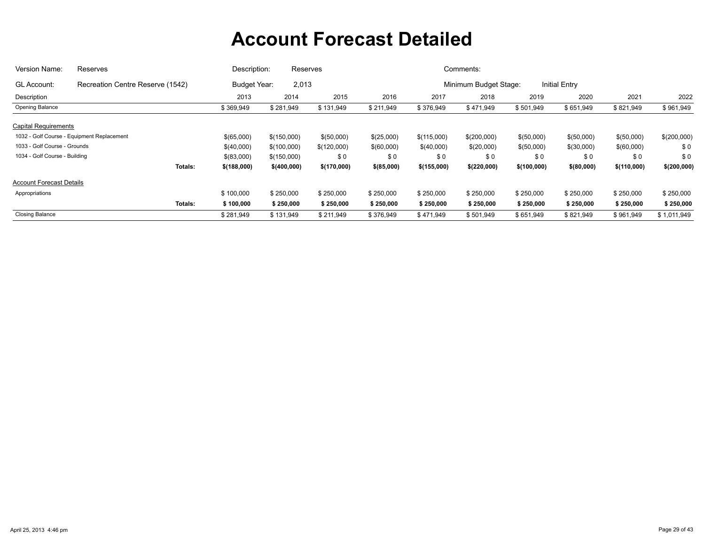| Version Name:                   | Reserves                                   | Description: | Reserves                     |             |            |             | Comments:             |             |                      |             |             |
|---------------------------------|--------------------------------------------|--------------|------------------------------|-------------|------------|-------------|-----------------------|-------------|----------------------|-------------|-------------|
| <b>GL Account:</b>              | Recreation Centre Reserve (1542)           |              | 2,013<br><b>Budget Year:</b> |             |            |             | Minimum Budget Stage: |             | <b>Initial Entry</b> |             |             |
| Description                     |                                            | 2013         | 2014                         | 2015        | 2016       | 2017        | 2018                  | 2019        | 2020                 | 2021        | 2022        |
| Opening Balance                 |                                            | \$369,949    | \$281,949                    | \$131,949   | \$211,949  | \$376,949   | \$471,949             | \$501,949   | \$651,949            | \$821,949   | \$961,949   |
| <b>Capital Requirements</b>     |                                            |              |                              |             |            |             |                       |             |                      |             |             |
|                                 | 1032 - Golf Course - Equipment Replacement | \$(65,000)   | \$(150,000)                  | \$(50,000)  | \$(25,000) | \$(115,000) | \$(200,000)           | \$(50,000)  | \$(50,000)           | \$(50,000)  | \$(200,000) |
| 1033 - Golf Course - Grounds    |                                            | \$(40,000)   | \$(100,000)                  | \$(120,000) | \$(60,000) | \$(40,000)  | \$(20,000)            | \$(50,000)  | \$(30,000)           | \$(60,000)  | \$0         |
| 1034 - Golf Course - Building   |                                            | \$(83,000)   | \$(150,000)                  | \$0         | \$0        | \$0         | \$0                   | \$0         | \$0                  | \$0         | \$0         |
|                                 | Totals:                                    | \$(188,000)  | \$(400,000)                  | \$(170,000) | \$(85,000) | \$(155,000) | \$(220,000)           | \$(100,000) | \$ (80,000)          | \$(110,000) | \$(200,000) |
| <b>Account Forecast Details</b> |                                            |              |                              |             |            |             |                       |             |                      |             |             |
| Appropriations                  |                                            | \$100,000    | \$250,000                    | \$250,000   | \$250,000  | \$250,000   | \$250,000             | \$250,000   | \$250,000            | \$250,000   | \$250,000   |
|                                 | <b>Totals:</b>                             | \$100,000    | \$250,000                    | \$250,000   | \$250,000  | \$250,000   | \$250,000             | \$250,000   | \$250,000            | \$250,000   | \$250,000   |
| <b>Closing Balance</b>          |                                            | \$281,949    | \$131,949                    | \$211,949   | \$376,949  | \$471,949   | \$501,949             | \$651,949   | \$821,949            | \$961,949   | \$1,011,949 |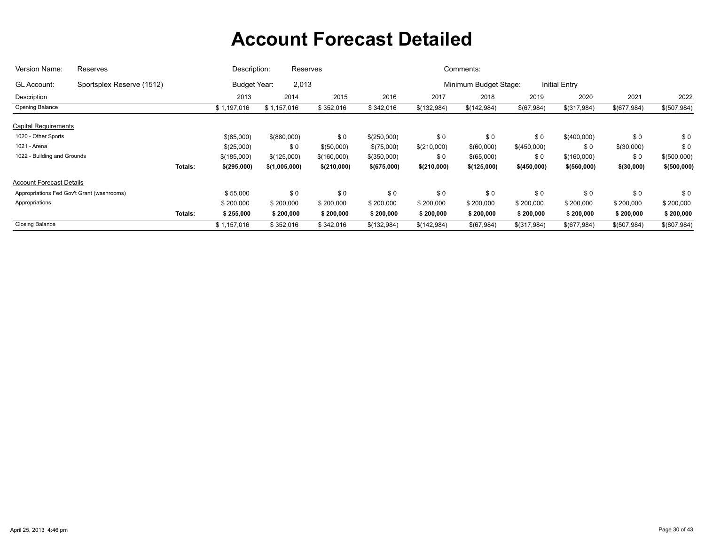| Version Name:                              | Reserves                  | Description:           | Reserves      |             |             |             | Comments:             |             |                      |             |              |
|--------------------------------------------|---------------------------|------------------------|---------------|-------------|-------------|-------------|-----------------------|-------------|----------------------|-------------|--------------|
| <b>GL Account:</b>                         | Sportsplex Reserve (1512) | <b>Budget Year:</b>    | 2,013         |             |             |             | Minimum Budget Stage: |             | <b>Initial Entry</b> |             |              |
| Description                                |                           | 2013                   | 2014          | 2015        | 2016        | 2017        | 2018                  | 2019        | 2020                 | 2021        | 2022         |
| Opening Balance                            |                           | \$1,197,016            | \$1,157,016   | \$352,016   | \$342,016   | \$(132,984) | \$(142,984)           | \$(67,984)  | \$(317,984)          | \$(677,984) | \$(507,984)  |
| <b>Capital Requirements</b>                |                           |                        |               |             |             |             |                       |             |                      |             |              |
| 1020 - Other Sports                        |                           | \$(85,000)             | \$(880,000)   | \$0         | \$(250,000) | \$0         | \$0                   | \$0         | \$(400,000)          | \$0         | \$0          |
| 1021 - Arena                               |                           | \$(25,000)             | \$0           | \$(50,000)  | \$(75,000)  | \$(210,000) | \$(60,000)            | \$(450,000) | \$0                  | \$(30,000)  | \$0          |
| 1022 - Building and Grounds                |                           | \$(185,000)            | \$(125,000)   | \$(160,000) | \$(350,000) | \$0         | \$(65,000)            | \$0         | \$(160,000)          | \$0         | \$(500,000)  |
|                                            |                           | \$(295,000)<br>Totals: | \$(1,005,000) | \$(210,000) | \$(675,000) | \$(210,000) | \$(125,000)           | \$(450,000) | \$ (560,000)         | \$(30,000)  | \$ (500,000) |
| <b>Account Forecast Details</b>            |                           |                        |               |             |             |             |                       |             |                      |             |              |
| Appropriations Fed Gov't Grant (washrooms) |                           | \$55,000               | \$0           | \$0         | \$0         | \$0         | \$0                   | \$0         | \$0                  | \$0         | \$0          |
| Appropriations                             |                           | \$200,000              | \$200,000     | \$200,000   | \$200,000   | \$200,000   | \$200,000             | \$200,000   | \$200,000            | \$200,000   | \$200,000    |
|                                            |                           | \$255,000<br>Totals:   | \$200,000     | \$200,000   | \$200,000   | \$200,000   | \$200,000             | \$200,000   | \$200,000            | \$200,000   | \$200,000    |
| <b>Closing Balance</b>                     |                           | \$1,157,016            | \$352,016     | \$342,016   | \$(132,984) | \$(142,984) | \$(67,984)            | \$(317,984) | \$(677,984)          | \$(507,984) | \$(807,984)  |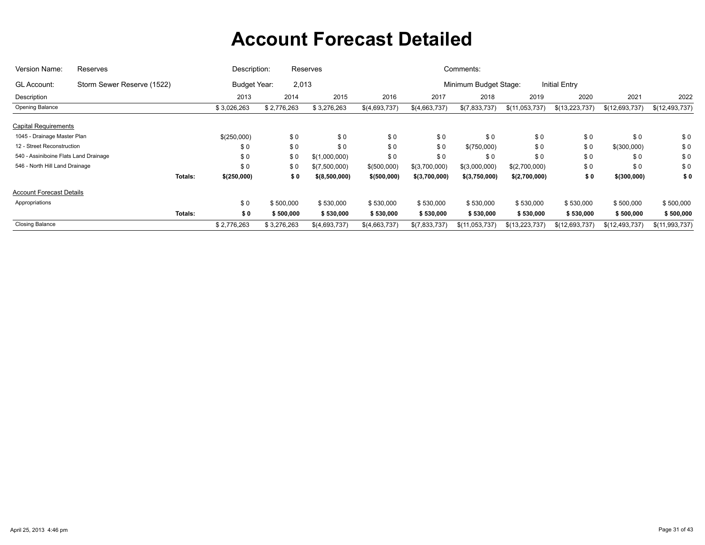| Version Name:                         | Reserves                   | Description:        |             | Reserves      |               |               | Comments:             |                  |                      |                |                |
|---------------------------------------|----------------------------|---------------------|-------------|---------------|---------------|---------------|-----------------------|------------------|----------------------|----------------|----------------|
| <b>GL Account:</b>                    | Storm Sewer Reserve (1522) | <b>Budget Year:</b> | 2,013       |               |               |               | Minimum Budget Stage: |                  | <b>Initial Entry</b> |                |                |
| Description                           |                            | 2013                | 2014        | 2015          | 2016          | 2017          | 2018                  | 2019             | 2020                 | 2021           | 2022           |
| Opening Balance                       |                            | \$3,026,263         | \$2,776,263 | \$3,276,263   | \$(4,693,737) | \$(4,663,737) | \$(7,833,737)         | \$(11,053,737)   | \$(13,223,737)       | \$(12,693,737) | \$(12,493,737) |
| <b>Capital Requirements</b>           |                            |                     |             |               |               |               |                       |                  |                      |                |                |
| 1045 - Drainage Master Plan           |                            | \$(250,000)         | \$0         | \$0           | \$0           | \$0           | \$0                   | \$0              | \$0                  | \$0            | \$0            |
| 12 - Street Reconstruction            |                            | \$0                 | \$0         | \$0           | \$0           | \$0           | \$(750,000)           | \$0              | \$0                  | \$(300,000)    | \$0            |
| 540 - Assiniboine Flats Land Drainage |                            | \$0                 | \$0         | \$(1,000,000) | \$0           | \$0           | \$0                   | \$0              | \$0                  | \$0            | \$0            |
| 546 - North Hill Land Drainage        |                            | \$0                 | \$0         | \$(7,500,000) | \$(500,000)   | \$(3,700,000) | \$(3,000,000)         | \$(2,700,000)    | \$0                  | \$0            | \$0            |
|                                       | Totals:                    | \$(250,000)         | \$0         | \$(8,500,000) | \$ (500,000)  | \$(3,700,000) | \$(3,750,000)         | \$(2,700,000)    | \$0                  | \$(300,000)    | \$0            |
| <b>Account Forecast Details</b>       |                            |                     |             |               |               |               |                       |                  |                      |                |                |
| Appropriations                        |                            | \$0                 | \$500,000   | \$530,000     | \$530,000     | \$530,000     | \$530,000             | \$530,000        | \$530,000            | \$500,000      | \$500,000      |
|                                       | Totals:                    | \$0                 | \$500,000   | \$530,000     | \$530,000     | \$530,000     | \$530,000             | \$530,000        | \$530,000            | \$500,000      | \$500,000      |
| <b>Closing Balance</b>                |                            | \$2,776,263         | \$3,276,263 | \$(4,693,737) | \$(4,663,737) | \$(7,833,737) | \$(11,053,737)        | \$(13, 223, 737) | \$(12,693,737)       | \$(12,493,737) | \$(11,993,737) |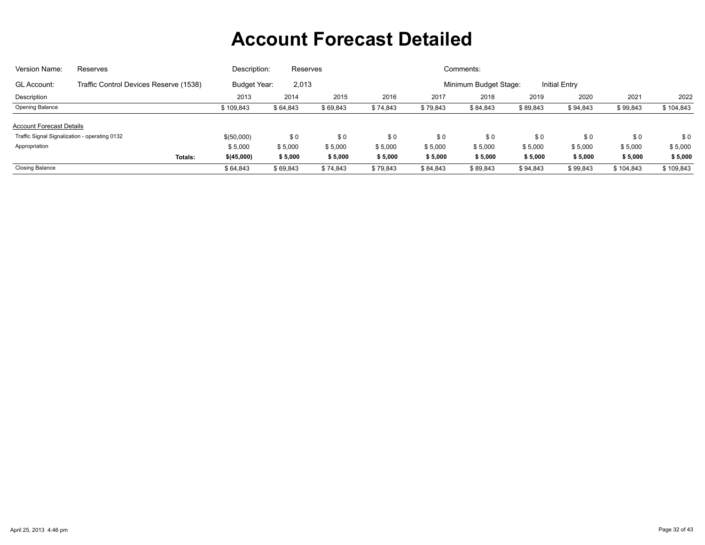| Version Name:                   | Reserves                                      | Description:        | Reserves |          |          |          | Comments:             |          |                      |           |           |
|---------------------------------|-----------------------------------------------|---------------------|----------|----------|----------|----------|-----------------------|----------|----------------------|-----------|-----------|
| <b>GL Account:</b>              | Traffic Control Devices Reserve (1538)        | <b>Budget Year:</b> | 2,013    |          |          |          | Minimum Budget Stage: |          | <b>Initial Entry</b> |           |           |
| Description                     |                                               | 2013                | 2014     | 2015     | 2016     | 2017     | 2018                  | 2019     | 2020                 | 2021      | 2022      |
| Opening Balance                 |                                               | \$109,843           | \$64,843 | \$69,843 | \$74,843 | \$79,843 | \$84,843              | \$89,843 | \$94,843             | \$99,843  | \$104,843 |
| <b>Account Forecast Details</b> |                                               |                     |          |          |          |          |                       |          |                      |           |           |
|                                 | Traffic Signal Signalization - operating 0132 | \$(50,000)          | \$0      | \$0      | \$0      | \$0      | \$0                   | \$0      | \$0                  | \$0       | \$0       |
| Appropriation                   |                                               | \$5,000             | \$5,000  | \$5,000  | \$5,000  | \$5,000  | \$5,000               | \$5,000  | \$5,000              | \$5,000   | \$5,000   |
|                                 | Totals:                                       | \$(45,000)          | \$5,000  | \$5,000  | \$5,000  | \$5,000  | \$5,000               | \$5,000  | \$5,000              | \$5,000   | \$5,000   |
| <b>Closing Balance</b>          |                                               | \$64.843            | \$69,843 | \$74.843 | \$79,843 | \$84,843 | \$89,843              | \$94.843 | \$99,843             | \$104.843 | \$109.843 |
|                                 |                                               |                     |          |          |          |          |                       |          |                      |           |           |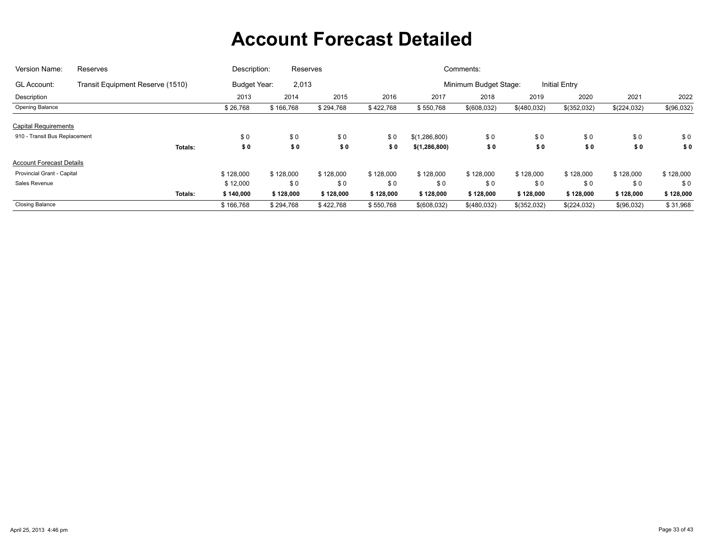| Version Name:                   | Reserves                         | Description:        | Reserves  |           |           |                 | Comments:             |             |                      |             |            |
|---------------------------------|----------------------------------|---------------------|-----------|-----------|-----------|-----------------|-----------------------|-------------|----------------------|-------------|------------|
| <b>GL Account:</b>              | Transit Equipment Reserve (1510) | <b>Budget Year:</b> | 2,013     |           |           |                 | Minimum Budget Stage: |             | <b>Initial Entry</b> |             |            |
| Description                     |                                  | 2013                | 2014      | 2015      | 2016      | 2017            | 2018                  | 2019        | 2020                 | 2021        | 2022       |
| Opening Balance                 |                                  | \$26,768            | \$166,768 | \$294,768 | \$422,768 | \$550,768       | \$(608,032)           | \$(480,032) | \$(352,032)          | \$(224,032) | \$(96,032) |
| <b>Capital Requirements</b>     |                                  |                     |           |           |           |                 |                       |             |                      |             |            |
| 910 - Transit Bus Replacement   |                                  | \$0                 | \$0       | \$0       | \$0       | \$(1,286,800)   | \$0                   | \$0         | \$0                  | \$0         | \$0        |
|                                 | Totals:                          | \$0                 | \$0       | \$0       | \$0       | \$(1, 286, 800) | \$0                   | \$0         | \$0                  | \$0         | \$0        |
| <b>Account Forecast Details</b> |                                  |                     |           |           |           |                 |                       |             |                      |             |            |
| Provincial Grant - Capital      |                                  | \$128,000           | \$128,000 | \$128,000 | \$128,000 | \$128,000       | \$128,000             | \$128,000   | \$128,000            | \$128,000   | \$128,000  |
| Sales Revenue                   |                                  | \$12,000            | \$0       | \$0       | \$0       | \$0             | \$0                   | \$0         | \$0                  | \$0         | \$0        |
|                                 | Totals:                          | \$140,000           | \$128,000 | \$128,000 | \$128,000 | \$128,000       | \$128,000             | \$128,000   | \$128,000            | \$128,000   | \$128,000  |
| <b>Closing Balance</b>          |                                  | \$166,768           | \$294,768 | \$422,768 | \$550,768 | \$(608,032)     | \$(480,032)           | \$(352,032) | \$(224,032)          | \$(96,032)  | \$31,968   |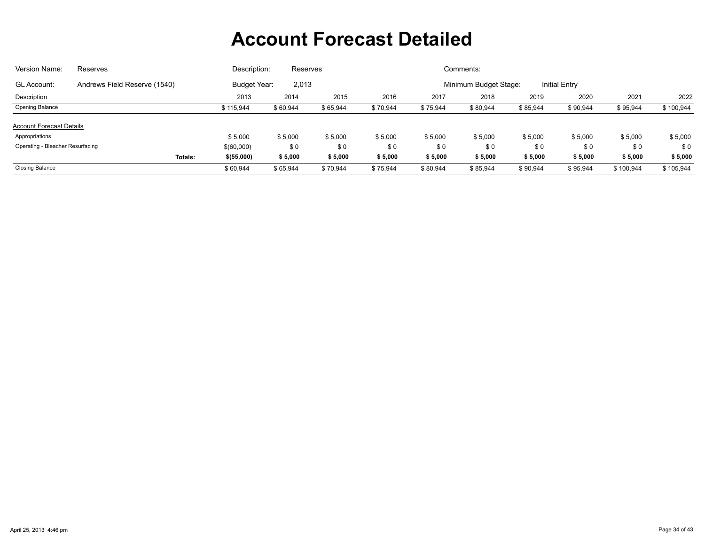| Version Name:                    | <b>Reserves</b>              | Description:        | Reserves |          |          |          | Comments:             |          |               |           |           |
|----------------------------------|------------------------------|---------------------|----------|----------|----------|----------|-----------------------|----------|---------------|-----------|-----------|
| <b>GL Account:</b>               | Andrews Field Reserve (1540) | <b>Budget Year:</b> | 2,013    |          |          |          | Minimum Budget Stage: |          | Initial Entry |           |           |
| Description                      |                              | 2013                | 2014     | 2015     | 2016     | 2017     | 2018                  | 2019     | 2020          | 2021      | 2022      |
| Opening Balance                  |                              | \$115,944           | \$60,944 | \$65,944 | \$70,944 | \$75,944 | \$80,944              | \$85,944 | \$90,944      | \$95,944  | \$100,944 |
| <b>Account Forecast Details</b>  |                              |                     |          |          |          |          |                       |          |               |           |           |
| Appropriations                   |                              | \$5,000             | \$5,000  | \$5,000  | \$5,000  | \$5,000  | \$5,000               | \$5,000  | \$5,000       | \$5,000   | \$5,000   |
| Operating - Bleacher Resurfacing |                              | \$(60,000)          | \$0      | \$0      | \$0      | \$0      | \$0                   | \$0      | \$0           | \$0       | \$0       |
|                                  | Totals:                      | \$ (55,000)         | \$5,000  | \$5,000  | \$5,000  | \$5,000  | \$5,000               | \$5,000  | \$5,000       | \$5,000   | \$5,000   |
| <b>Closing Balance</b>           |                              | \$60,944            | \$65,944 | \$70.944 | \$75,944 | \$80,944 | \$85,944              | \$90,944 | \$95,944      | \$100,944 | \$105,944 |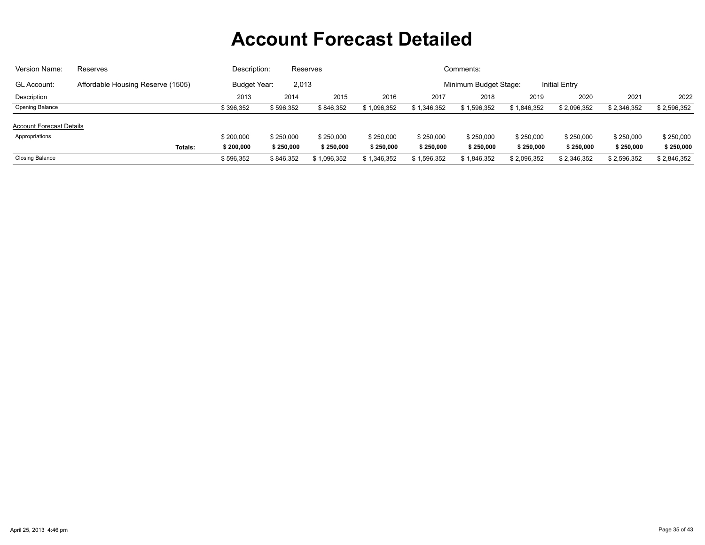| Version Name:                   | Reserves                          | Description: |                       | Reserves    |             |                                               | Comments:   |             |             |             |             |  |  |
|---------------------------------|-----------------------------------|--------------|-----------------------|-------------|-------------|-----------------------------------------------|-------------|-------------|-------------|-------------|-------------|--|--|
| <b>GL Account:</b>              | Affordable Housing Reserve (1505) |              | Budget Year:<br>2,013 |             |             | <b>Initial Entry</b><br>Minimum Budget Stage: |             |             |             |             |             |  |  |
| Description                     |                                   | 2013         | 2014                  | 2015        | 2016        | 2017                                          | 2018        | 2019        | 2020        | 2021        | 2022        |  |  |
| <b>Opening Balance</b>          |                                   | \$396,352    | \$596,352             | \$846.352   | \$1,096,352 | \$1,346,352                                   | \$1,596,352 | \$1,846,352 | \$2,096,352 | \$2,346,352 | \$2,596,352 |  |  |
| <b>Account Forecast Details</b> |                                   |              |                       |             |             |                                               |             |             |             |             |             |  |  |
| Appropriations                  |                                   | \$200,000    | \$250,000             | \$250,000   | \$250,000   | \$250,000                                     | \$250,000   | \$250,000   | \$250,000   | \$250,000   | \$250,000   |  |  |
|                                 | <b>Totals:</b>                    | \$200,000    | \$250,000             | \$250,000   | \$250,000   | \$250,000                                     | \$250,000   | \$250,000   | \$250,000   | \$250,000   | \$250,000   |  |  |
| <b>Closing Balance</b>          |                                   | \$596,352    | \$846,352             | \$1,096,352 | \$1,346,352 | \$1,596,352                                   | \$1,846,352 | \$2,096,352 | \$2,346,352 | \$2,596,352 | \$2,846,352 |  |  |
|                                 |                                   |              |                       |             |             |                                               |             |             |             |             |             |  |  |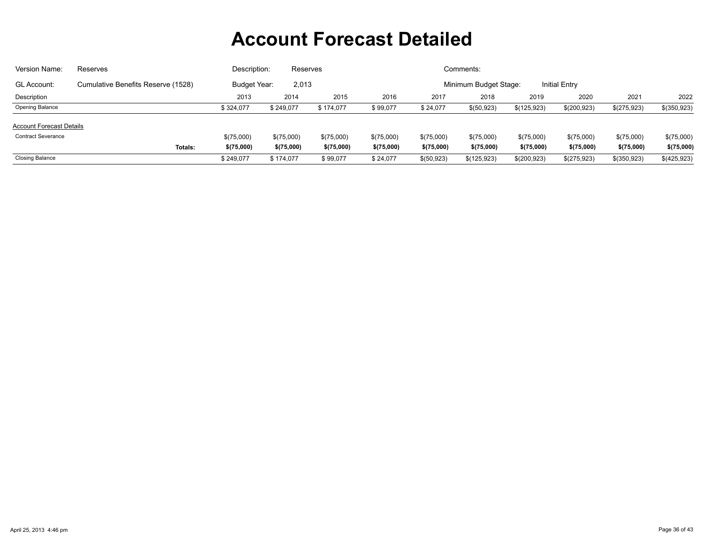| Version Name:                   | Reserves                           | Description: | Reserves   |            |                                               |            | Comments:    |             |             |              |             |  |
|---------------------------------|------------------------------------|--------------|------------|------------|-----------------------------------------------|------------|--------------|-------------|-------------|--------------|-------------|--|
| <b>GL Account:</b>              | Cumulative Benefits Reserve (1528) | Budget Year: | 2,013      |            | <b>Initial Entry</b><br>Minimum Budget Stage: |            |              |             |             |              |             |  |
| Description                     |                                    | 2013         | 2014       | 2015       | 2016                                          | 2017       | 2018         | 2019        | 2020        | 2021         | 2022        |  |
| <b>Opening Balance</b>          |                                    | \$324.077    | \$249,077  | \$174,077  | \$99,077                                      | \$24,077   | \$ (50, 923) | \$(125,923) | \$(200,923) | \$(275,923)  | \$(350,923) |  |
| <b>Account Forecast Details</b> |                                    |              |            |            |                                               |            |              |             |             |              |             |  |
| <b>Contract Severance</b>       |                                    | \$(75,000)   | \$(75,000) | \$(75,000) | \$(75,000)                                    | \$(75,000) | \$(75,000)   | \$(75,000)  | \$(75,000)  | \$(75,000)   | \$(75,000)  |  |
|                                 | <b>Totals:</b>                     | \$(75,000)   | \$(75,000) | \$(75,000) | \$(75,000)                                    | \$(75,000) | \$(75,000)   | \$(75,000)  | \$(75,000)  | \$(75,000)   | \$(75,000)  |  |
| <b>Closing Balance</b>          |                                    | \$249,077    | \$174,077  | \$99,077   | \$24,077                                      | \$(50,923) | \$(125,923)  | \$(200,923) | \$(275,923) | \$(350, 923) | \$(425,923) |  |
|                                 |                                    |              |            |            |                                               |            |              |             |             |              |             |  |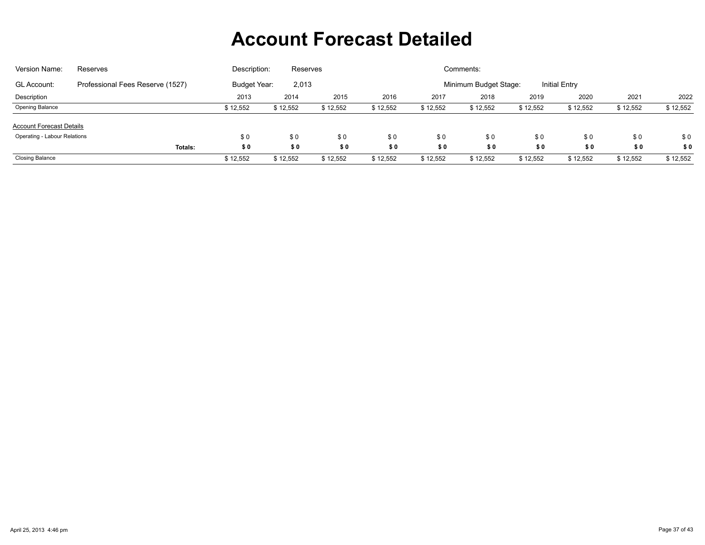| Version Name:                       | Reserves                         | Description: | Reserves |          |          |          | Comments:             |          |                      |          |          |
|-------------------------------------|----------------------------------|--------------|----------|----------|----------|----------|-----------------------|----------|----------------------|----------|----------|
| <b>GL Account:</b>                  | Professional Fees Reserve (1527) | Budget Year: | 2,013    |          |          |          | Minimum Budget Stage: |          | <b>Initial Entry</b> |          |          |
| Description                         |                                  | 2013         | 2014     | 2015     | 2016     | 2017     | 2018                  | 2019     | 2020                 | 2021     | 2022     |
| <b>Opening Balance</b>              |                                  | \$12,552     | \$12,552 | \$12,552 | \$12,552 | \$12,552 | \$12,552              | \$12,552 | \$12,552             | \$12,552 | \$12,552 |
| <b>Account Forecast Details</b>     |                                  |              |          |          |          |          |                       |          |                      |          |          |
| <b>Operating - Labour Relations</b> |                                  | \$0          | \$0      | \$0      | \$0      | \$0      | \$0                   | \$0      | \$0                  | \$0      | \$0      |
|                                     | Totals:                          | \$0          | \$0      | \$0      | \$0      | \$0      | \$0                   | \$0      | \$0                  | \$0      | \$0      |
| <b>Closing Balance</b>              |                                  | \$12,552     | \$12,552 | \$12,552 | \$12,552 | \$12,552 | \$12,552              | \$12,552 | \$12,552             | \$12,552 | \$12,552 |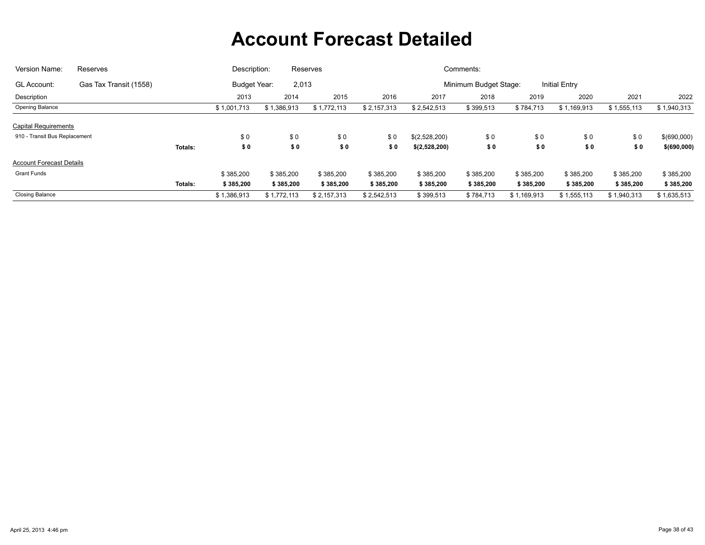| Version Name:                   | Reserves               |         | Description: |             | Reserves    |                                               |               | Comments: |             |             |             |             |  |
|---------------------------------|------------------------|---------|--------------|-------------|-------------|-----------------------------------------------|---------------|-----------|-------------|-------------|-------------|-------------|--|
| GL Account:                     | Gas Tax Transit (1558) |         | Budget Year: | 2,013       |             | <b>Initial Entry</b><br>Minimum Budget Stage: |               |           |             |             |             |             |  |
| Description                     |                        |         | 2013         | 2014        | 2015        | 2016                                          | 2017          | 2018      | 2019        | 2020        | 2021        | 2022        |  |
| <b>Opening Balance</b>          |                        |         | \$1,001,713  | \$1,386,913 | \$1,772,113 | \$2,157,313                                   | \$2,542,513   | \$399,513 | \$784,713   | \$1,169,913 | \$1,555,113 | \$1,940,313 |  |
| <b>Capital Requirements</b>     |                        |         |              |             |             |                                               |               |           |             |             |             |             |  |
| 910 - Transit Bus Replacement   |                        |         | \$0          | \$0         | \$0         | \$0                                           | \$(2,528,200) | \$0       | \$0         | \$0         | \$0         | \$(690,000) |  |
|                                 |                        | Totals: | \$0          | \$0         | \$0         | \$0                                           | \$(2,528,200) | \$0       | \$0         | \$0         | \$0         | \$(690,000) |  |
| <b>Account Forecast Details</b> |                        |         |              |             |             |                                               |               |           |             |             |             |             |  |
| <b>Grant Funds</b>              |                        |         | \$385,200    | \$385,200   | \$385,200   | \$385,200                                     | \$385,200     | \$385,200 | \$385,200   | \$385,200   | \$385,200   | \$385,200   |  |
|                                 |                        | Totals: | \$385,200    | \$385,200   | \$385,200   | \$385,200                                     | \$385,200     | \$385,200 | \$385,200   | \$385,200   | \$385,200   | \$385,200   |  |
| <b>Closing Balance</b>          |                        |         | \$1,386,913  | \$1,772,113 | \$2,157,313 | \$2,542,513                                   | \$399,513     | \$784,713 | \$1,169,913 | \$1,555,113 | \$1,940,313 | \$1,635,513 |  |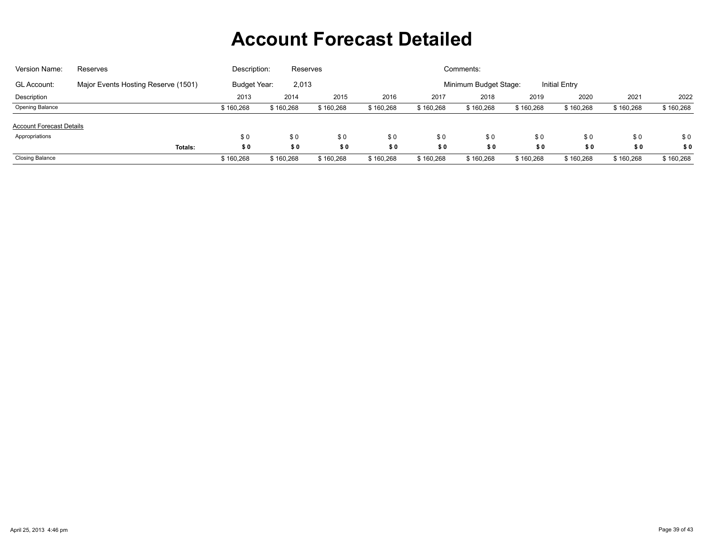| Version Name:                   | Reserves                            | Description: | Reserves  |           |           |           | Comments:             |           |                      |           |           |
|---------------------------------|-------------------------------------|--------------|-----------|-----------|-----------|-----------|-----------------------|-----------|----------------------|-----------|-----------|
| <b>GL Account:</b>              | Major Events Hosting Reserve (1501) | Budget Year: | 2,013     |           |           |           | Minimum Budget Stage: |           | <b>Initial Entry</b> |           |           |
| Description                     |                                     | 2013         | 2014      | 2015      | 2016      | 2017      | 2018                  | 2019      | 2020                 | 2021      | 2022      |
| <b>Opening Balance</b>          |                                     | \$160,268    | \$160,268 | \$160,268 | \$160,268 | \$160,268 | \$160,268             | \$160,268 | \$160,268            | \$160,268 | \$160,268 |
| <b>Account Forecast Details</b> |                                     |              |           |           |           |           |                       |           |                      |           |           |
| Appropriations                  |                                     | \$0          | \$0       | \$0       | \$0       | \$0       | \$0                   | \$0       | \$0                  | \$0       | \$0       |
|                                 | Totals:                             | \$0          | \$0       | \$0       | \$0       | \$0       | \$0                   | \$0       | \$0                  | \$0       | \$0       |
| <b>Closing Balance</b>          |                                     | \$160,268    | \$160,268 | \$160,268 | \$160,268 | \$160,268 | \$160,268             | \$160,268 | \$160,268            | \$160,268 | \$160,268 |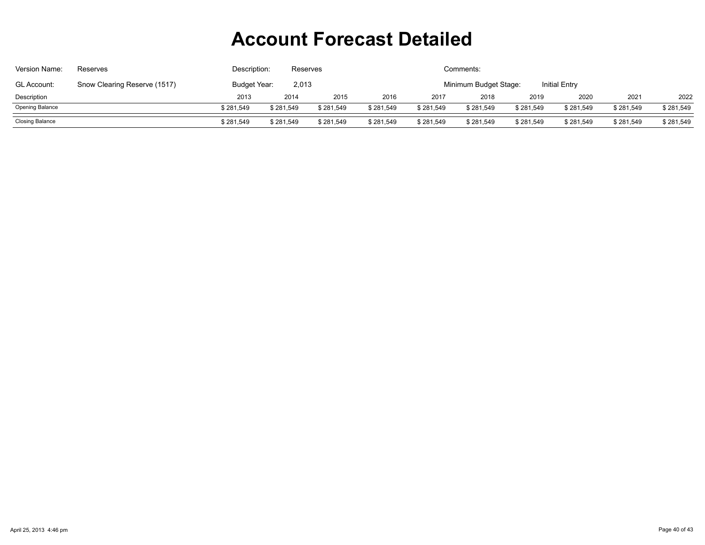| Version Name:          | Reserves                     | Description: | Reserves  |           |           |           | Comments:             |           |                      |           |           |
|------------------------|------------------------------|--------------|-----------|-----------|-----------|-----------|-----------------------|-----------|----------------------|-----------|-----------|
| <b>GL Account:</b>     | Snow Clearing Reserve (1517) | Budget Year: | 2,013     |           |           |           | Minimum Budget Stage: |           | <b>Initial Entry</b> |           |           |
| Description            |                              | 2013         | 2014      | 2015      | 2016      | 2017      | 2018                  | 2019      | 2020                 | 2021      | 2022      |
| <b>Opening Balance</b> |                              | \$281,549    | \$281,549 | \$281,549 | \$281,549 | \$281,549 | \$281,549             | \$281,549 | \$281,549            | \$281,549 | \$281,549 |
| Closing Balance        |                              | \$281,549    | \$281,549 | \$281,549 | \$281,549 | \$281,549 | \$281,549             | \$281,549 | \$281,549            | \$281,549 | \$281,549 |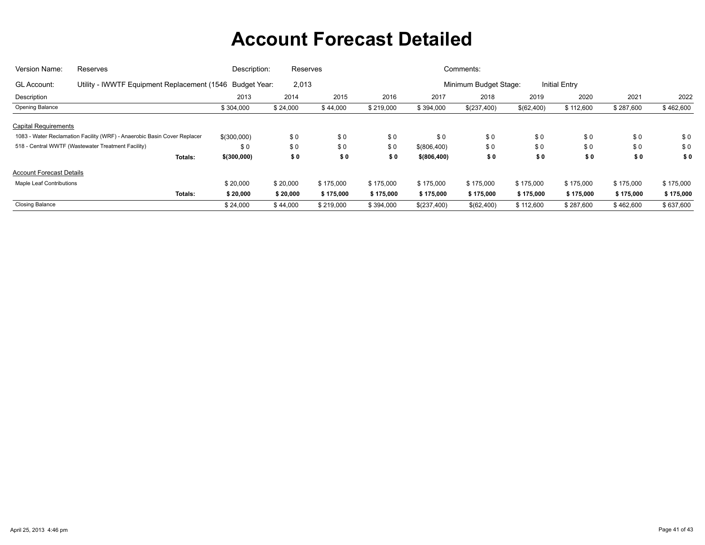| Version Name:                   | Reserves                                                                 | Description: | Reserves |           |           |               | Comments:             |            |                      |           |           |
|---------------------------------|--------------------------------------------------------------------------|--------------|----------|-----------|-----------|---------------|-----------------------|------------|----------------------|-----------|-----------|
| GL Account:                     | Utility - IWWTF Equipment Replacement (1546 Budget Year:                 |              | 2,013    |           |           |               | Minimum Budget Stage: |            | <b>Initial Entry</b> |           |           |
| Description                     |                                                                          | 2013         | 2014     | 2015      | 2016      | 2017          | 2018                  | 2019       | 2020                 | 2021      | 2022      |
| Opening Balance                 |                                                                          | \$304,000    | \$24,000 | \$44,000  | \$219,000 | \$394,000     | \$(237,400)           | \$(62,400) | \$112,600            | \$287,600 | \$462,600 |
| <b>Capital Requirements</b>     |                                                                          |              |          |           |           |               |                       |            |                      |           |           |
|                                 | 1083 - Water Reclamation Facility (WRF) - Anaerobic Basin Cover Replacer | \$(300,000)  | \$0      | \$0       | \$0       | \$0           | \$0                   | \$0        | \$0                  | \$0       | \$0       |
|                                 | 518 - Central WWTF (Wastewater Treatment Facility)                       | \$0          | \$0      | \$0       | \$0       | \$(806,400)   | \$0                   | \$0        | \$0                  | \$0       | \$0       |
|                                 | <b>Totals:</b>                                                           | \$ (300,000) | \$0      | \$0       | \$0       | \$ (806, 400) | \$0                   | \$0        | \$0                  | \$0       | \$0       |
| <b>Account Forecast Details</b> |                                                                          |              |          |           |           |               |                       |            |                      |           |           |
| <b>Maple Leaf Contributions</b> |                                                                          | \$20,000     | \$20,000 | \$175,000 | \$175,000 | \$175,000     | \$175,000             | \$175,000  | \$175,000            | \$175,000 | \$175,000 |
|                                 | <b>Totals:</b>                                                           | \$20,000     | \$20,000 | \$175,000 | \$175,000 | \$175,000     | \$175,000             | \$175,000  | \$175,000            | \$175,000 | \$175,000 |
| <b>Closing Balance</b>          |                                                                          | \$24,000     | \$44,000 | \$219,000 | \$394,000 | \$(237,400)   | \$(62,400)            | \$112,600  | \$287,600            | \$462,600 | \$637,600 |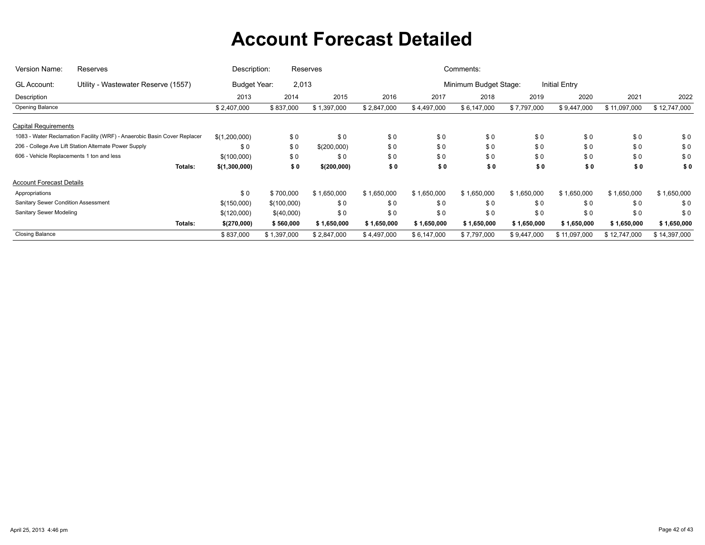| Version Name:                             | Reserves                                                                 | Description:        |             | Reserves    |             |             | Comments:             |             |                      |              |              |
|-------------------------------------------|--------------------------------------------------------------------------|---------------------|-------------|-------------|-------------|-------------|-----------------------|-------------|----------------------|--------------|--------------|
| GL Account:                               | Utility - Wastewater Reserve (1557)                                      | <b>Budget Year:</b> | 2,013       |             |             |             | Minimum Budget Stage: |             | <b>Initial Entry</b> |              |              |
| Description                               |                                                                          | 2013                | 2014        | 2015        | 2016        | 2017        | 2018                  | 2019        | 2020                 | 2021         | 2022         |
| Opening Balance                           |                                                                          | \$2,407,000         | \$837,000   | \$1,397,000 | \$2,847,000 | \$4,497,000 | \$6,147,000           | \$7,797,000 | \$9,447,000          | \$11,097,000 | \$12,747,000 |
| <b>Capital Requirements</b>               |                                                                          |                     |             |             |             |             |                       |             |                      |              |              |
|                                           | 1083 - Water Reclamation Facility (WRF) - Anaerobic Basin Cover Replacer | \$(1,200,000)       | \$0         | \$0         | \$0         | \$0         | \$0                   | \$0         | \$0                  | \$0          | \$0          |
|                                           | 206 - College Ave Lift Station Alternate Power Supply                    | \$0                 | \$0         | \$(200,000) | \$0         | \$0         | \$0                   | \$0         | \$0                  | \$0          | \$0          |
| 606 - Vehicle Replacements 1 ton and less |                                                                          | \$(100,000)         | \$0         | \$0         | \$0         | \$0         | \$0                   | \$0         | \$0                  | \$0          | \$0          |
|                                           | <b>Totals:</b>                                                           | \$(1,300,000)       | \$0         | \$(200,000) | \$0         | \$0         | \$0                   | \$0         | \$0                  | \$0          | \$0          |
| <b>Account Forecast Details</b>           |                                                                          |                     |             |             |             |             |                       |             |                      |              |              |
| Appropriations                            |                                                                          | \$0                 | \$700,000   | \$1,650,000 | \$1,650,000 | \$1,650,000 | \$1,650,000           | \$1,650,000 | \$1,650,000          | \$1,650,000  | \$1,650,000  |
| Sanitary Sewer Condition Assessment       |                                                                          | \$(150,000)         | \$(100,000) | \$0         | \$0         | \$0         | \$0                   | \$0         | \$0                  | \$0          | \$0          |
| Sanitary Sewer Modeling                   |                                                                          | \$(120,000)         | \$(40,000)  | \$0         | \$0         | \$0         | \$0                   | \$0         | \$0                  | \$0          | \$0          |
|                                           | <b>Totals:</b>                                                           | \$(270,000)         | \$560,000   | \$1,650,000 | \$1,650,000 | \$1,650,000 | \$1,650,000           | \$1,650,000 | \$1,650,000          | \$1,650,000  | \$1,650,000  |
| <b>Closing Balance</b>                    |                                                                          | \$837,000           | \$1,397,000 | \$2,847,000 | \$4,497,000 | \$6,147,000 | \$7,797,000           | \$9,447,000 | \$11,097,000         | \$12,747,000 | \$14,397,000 |